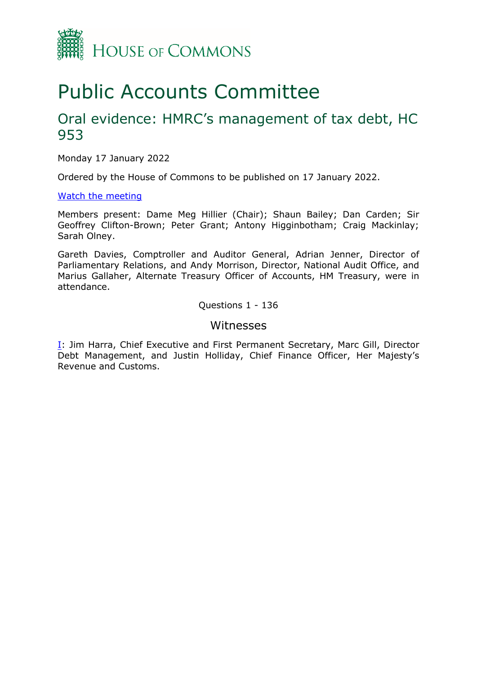

# Public Accounts Committee

### Oral evidence: HMRC's management of tax debt, HC 953

Monday 17 January 2022

Ordered by the House of Commons to be published on 17 January 2022.

#### [Watch the meeting](https://parliamentlive.tv/Event/Index/5cd0813b-690c-4bba-825b-e7b430ebe228)

Members present: Dame Meg Hillier (Chair); Shaun Bailey; Dan Carden; Sir Geoffrey Clifton-Brown; Peter Grant; Antony Higginbotham; Craig Mackinlay; Sarah Olney.

Gareth Davies, Comptroller and Auditor General, Adrian Jenner, Director of Parliamentary Relations, and Andy Morrison, Director, National Audit Office, and Marius Gallaher, Alternate Treasury Officer of Accounts, HM Treasury, were in attendance.

Questions 1 - 136

#### Witnesses

 $I$ : Jim Harra, Chief Executive and First Permanent Secretary, Marc Gill, Director Debt Management, and Justin Holliday, Chief Finance Officer, Her Majesty's Revenue and Customs.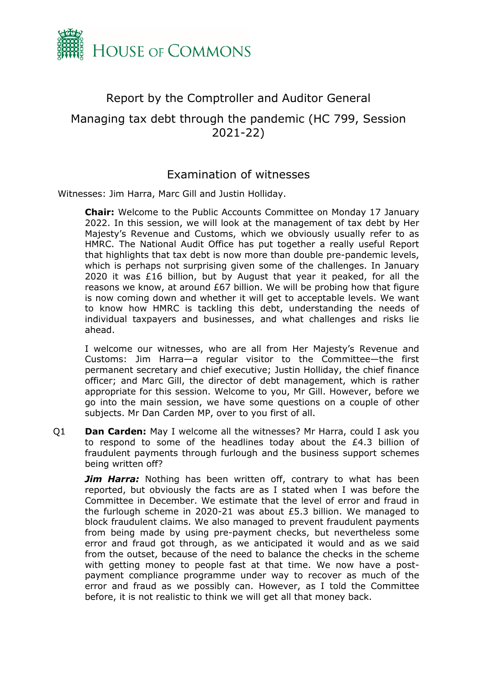

## <span id="page-1-0"></span>Report by the Comptroller and Auditor General Managing tax debt through the pandemic (HC 799, Session 2021-22)

### Examination of witnesses

Witnesses: Jim Harra, Marc Gill and Justin Holliday.

**Chair:** Welcome to the Public Accounts Committee on Monday 17 January 2022. In this session, we will look at the management of tax debt by Her Majesty's Revenue and Customs, which we obviously usually refer to as HMRC. The National Audit Office has put together a really useful Report that highlights that tax debt is now more than double pre-pandemic levels, which is perhaps not surprising given some of the challenges. In January 2020 it was £16 billion, but by August that year it peaked, for all the reasons we know, at around £67 billion. We will be probing how that figure is now coming down and whether it will get to acceptable levels. We want to know how HMRC is tackling this debt, understanding the needs of individual taxpayers and businesses, and what challenges and risks lie ahead.

I welcome our witnesses, who are all from Her Majesty's Revenue and Customs: Jim Harra—a regular visitor to the Committee—the first permanent secretary and chief executive; Justin Holliday, the chief finance officer; and Marc Gill, the director of debt management, which is rather appropriate for this session. Welcome to you, Mr Gill. However, before we go into the main session, we have some questions on a couple of other subjects. Mr Dan Carden MP, over to you first of all.

Q1 **Dan Carden:** May I welcome all the witnesses? Mr Harra, could I ask you to respond to some of the headlines today about the £4.3 billion of fraudulent payments through furlough and the business support schemes being written off?

**Jim Harra:** Nothing has been written off, contrary to what has been reported, but obviously the facts are as I stated when I was before the Committee in December. We estimate that the level of error and fraud in the furlough scheme in 2020-21 was about £5.3 billion. We managed to block fraudulent claims. We also managed to prevent fraudulent payments from being made by using pre-payment checks, but nevertheless some error and fraud got through, as we anticipated it would and as we said from the outset, because of the need to balance the checks in the scheme with getting money to people fast at that time. We now have a postpayment compliance programme under way to recover as much of the error and fraud as we possibly can. However, as I told the Committee before, it is not realistic to think we will get all that money back.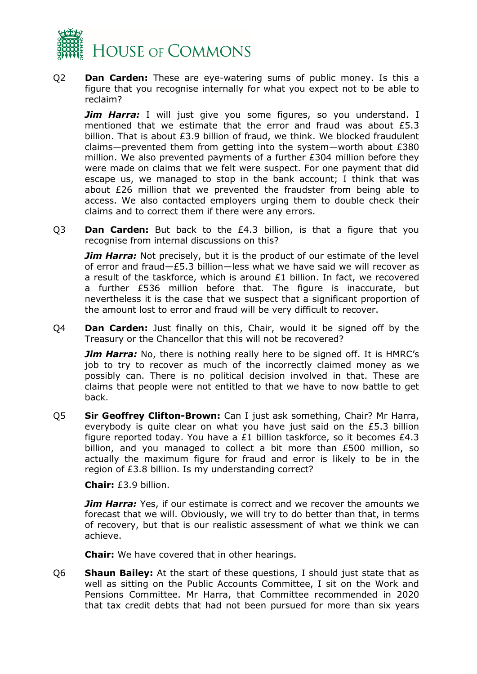

Q2 **Dan Carden:** These are eye-watering sums of public money. Is this a figure that you recognise internally for what you expect not to be able to reclaim?

**Jim Harra:** I will just give you some figures, so you understand. I mentioned that we estimate that the error and fraud was about £5.3 billion. That is about £3.9 billion of fraud, we think. We blocked fraudulent claims—prevented them from getting into the system—worth about £380 million. We also prevented payments of a further £304 million before they were made on claims that we felt were suspect. For one payment that did escape us, we managed to stop in the bank account; I think that was about £26 million that we prevented the fraudster from being able to access. We also contacted employers urging them to double check their claims and to correct them if there were any errors.

Q3 **Dan Carden:** But back to the £4.3 billion, is that a figure that you recognise from internal discussions on this?

*Jim Harra:* Not precisely, but it is the product of our estimate of the level of error and fraud—£5.3 billion—less what we have said we will recover as a result of the taskforce, which is around £1 billion. In fact, we recovered a further £536 million before that. The figure is inaccurate, but nevertheless it is the case that we suspect that a significant proportion of the amount lost to error and fraud will be very difficult to recover.

Q4 **Dan Carden:** Just finally on this, Chair, would it be signed off by the Treasury or the Chancellor that this will not be recovered?

*Jim Harra:* No, there is nothing really here to be signed off. It is HMRC's job to try to recover as much of the incorrectly claimed money as we possibly can. There is no political decision involved in that. These are claims that people were not entitled to that we have to now battle to get back.

Q5 **Sir Geoffrey Clifton-Brown:** Can I just ask something, Chair? Mr Harra, everybody is quite clear on what you have just said on the £5.3 billion figure reported today. You have a £1 billion taskforce, so it becomes £4.3 billion, and you managed to collect a bit more than £500 million, so actually the maximum figure for fraud and error is likely to be in the region of £3.8 billion. Is my understanding correct?

#### **Chair:** £3.9 billion.

*Jim Harra:* Yes, if our estimate is correct and we recover the amounts we forecast that we will. Obviously, we will try to do better than that, in terms of recovery, but that is our realistic assessment of what we think we can achieve.

**Chair:** We have covered that in other hearings.

Q6 **Shaun Bailey:** At the start of these questions, I should just state that as well as sitting on the Public Accounts Committee, I sit on the Work and Pensions Committee. Mr Harra, that Committee recommended in 2020 that tax credit debts that had not been pursued for more than six years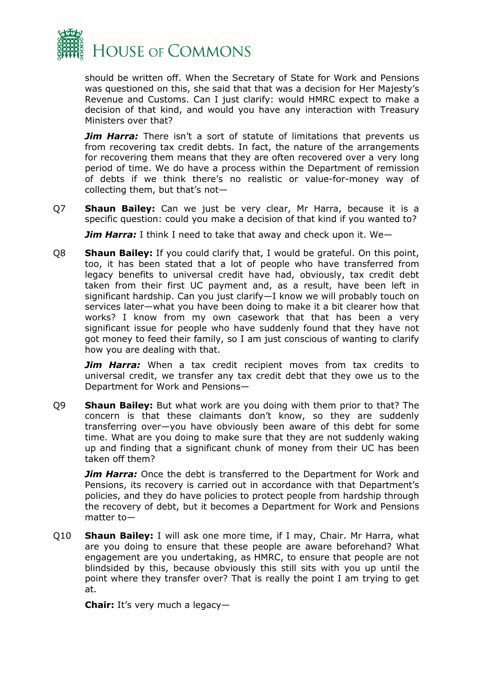

should be written off. When the Secretary of State for Work and Pensions was questioned on this, she said that that was a decision for Her Majesty's Revenue and Customs. Can I just clarify: would HMRC expect to make a decision of that kind, and would you have any interaction with Treasury Ministers over that?

*Jim Harra:* There isn't a sort of statute of limitations that prevents us from recovering tax credit debts. In fact, the nature of the arrangements for recovering them means that they are often recovered over a very long period of time. We do have a process within the Department of remission of debts if we think there's no realistic or value-for-money way of collecting them, but that's not—

Q7 **Shaun Bailey:** Can we just be very clear, Mr Harra, because it is a specific question: could you make a decision of that kind if you wanted to?

*Jim Harra:* I think I need to take that away and check upon it. We—

Q8 **Shaun Bailey:** If you could clarify that, I would be grateful. On this point, too, it has been stated that a lot of people who have transferred from legacy benefits to universal credit have had, obviously, tax credit debt taken from their first UC payment and, as a result, have been left in significant hardship. Can you just clarify—I know we will probably touch on services later—what you have been doing to make it a bit clearer how that works? I know from my own casework that that has been a very significant issue for people who have suddenly found that they have not got money to feed their family, so I am just conscious of wanting to clarify how you are dealing with that.

*Jim Harra:* When a tax credit recipient moves from tax credits to universal credit, we transfer any tax credit debt that they owe us to the Department for Work and Pensions—

Q9 **Shaun Bailey:** But what work are you doing with them prior to that? The concern is that these claimants don't know, so they are suddenly transferring over—you have obviously been aware of this debt for some time. What are you doing to make sure that they are not suddenly waking up and finding that a significant chunk of money from their UC has been taken off them?

**Jim Harra:** Once the debt is transferred to the Department for Work and Pensions, its recovery is carried out in accordance with that Department's policies, and they do have policies to protect people from hardship through the recovery of debt, but it becomes a Department for Work and Pensions matter to—

Q10 **Shaun Bailey:** I will ask one more time, if I may, Chair. Mr Harra, what are you doing to ensure that these people are aware beforehand? What engagement are you undertaking, as HMRC, to ensure that people are not blindsided by this, because obviously this still sits with you up until the point where they transfer over? That is really the point I am trying to get at.

**Chair:** It's very much a legacy—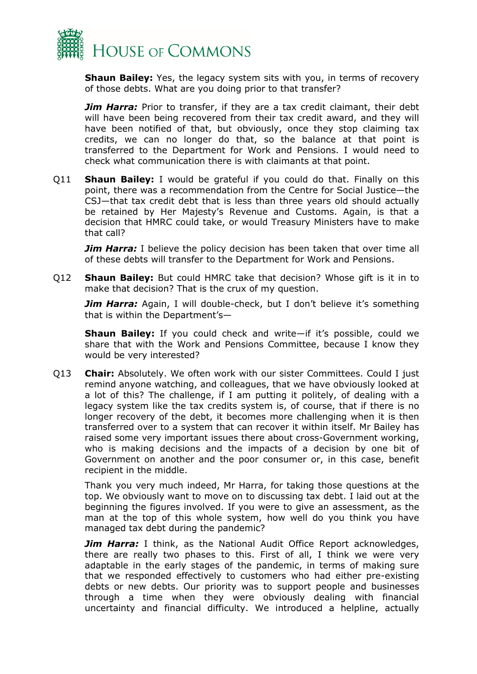

**Shaun Bailey:** Yes, the legacy system sits with you, in terms of recovery of those debts. What are you doing prior to that transfer?

**Jim Harra:** Prior to transfer, if they are a tax credit claimant, their debt will have been being recovered from their tax credit award, and they will have been notified of that, but obviously, once they stop claiming tax credits, we can no longer do that, so the balance at that point is transferred to the Department for Work and Pensions. I would need to check what communication there is with claimants at that point.

Q11 **Shaun Bailey:** I would be grateful if you could do that. Finally on this point, there was a recommendation from the Centre for Social Justice—the CSJ—that tax credit debt that is less than three years old should actually be retained by Her Majesty's Revenue and Customs. Again, is that a decision that HMRC could take, or would Treasury Ministers have to make that call?

*Jim Harra:* I believe the policy decision has been taken that over time all of these debts will transfer to the Department for Work and Pensions.

Q12 **Shaun Bailey:** But could HMRC take that decision? Whose gift is it in to make that decision? That is the crux of my question.

**Jim Harra:** Again, I will double-check, but I don't believe it's something that is within the Department's—

**Shaun Bailey:** If you could check and write—if it's possible, could we share that with the Work and Pensions Committee, because I know they would be very interested?

Q13 **Chair:** Absolutely. We often work with our sister Committees. Could I just remind anyone watching, and colleagues, that we have obviously looked at a lot of this? The challenge, if I am putting it politely, of dealing with a legacy system like the tax credits system is, of course, that if there is no longer recovery of the debt, it becomes more challenging when it is then transferred over to a system that can recover it within itself. Mr Bailey has raised some very important issues there about cross-Government working, who is making decisions and the impacts of a decision by one bit of Government on another and the poor consumer or, in this case, benefit recipient in the middle.

Thank you very much indeed, Mr Harra, for taking those questions at the top. We obviously want to move on to discussing tax debt. I laid out at the beginning the figures involved. If you were to give an assessment, as the man at the top of this whole system, how well do you think you have managed tax debt during the pandemic?

**Jim Harra:** I think, as the National Audit Office Report acknowledges, there are really two phases to this. First of all, I think we were very adaptable in the early stages of the pandemic, in terms of making sure that we responded effectively to customers who had either pre-existing debts or new debts. Our priority was to support people and businesses through a time when they were obviously dealing with financial uncertainty and financial difficulty. We introduced a helpline, actually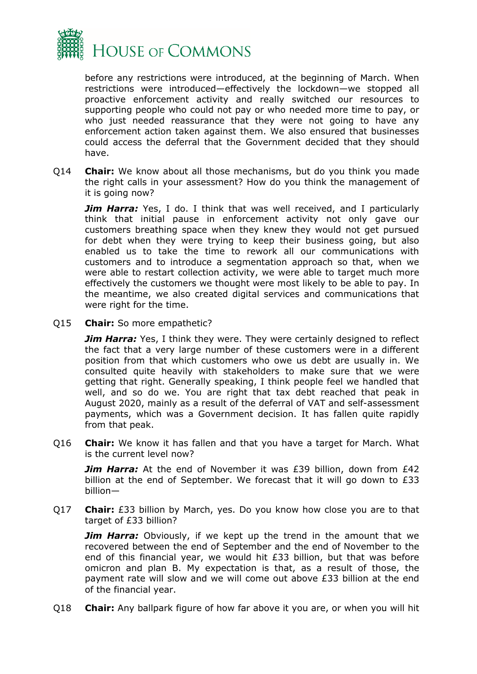

before any restrictions were introduced, at the beginning of March. When restrictions were introduced—effectively the lockdown—we stopped all proactive enforcement activity and really switched our resources to supporting people who could not pay or who needed more time to pay, or who just needed reassurance that they were not going to have any enforcement action taken against them. We also ensured that businesses could access the deferral that the Government decided that they should have.

Q14 **Chair:** We know about all those mechanisms, but do you think you made the right calls in your assessment? How do you think the management of it is going now?

*Jim Harra:* Yes, I do. I think that was well received, and I particularly think that initial pause in enforcement activity not only gave our customers breathing space when they knew they would not get pursued for debt when they were trying to keep their business going, but also enabled us to take the time to rework all our communications with customers and to introduce a segmentation approach so that, when we were able to restart collection activity, we were able to target much more effectively the customers we thought were most likely to be able to pay. In the meantime, we also created digital services and communications that were right for the time.

Q15 **Chair:** So more empathetic?

*Jim Harra:* Yes, I think they were. They were certainly designed to reflect the fact that a very large number of these customers were in a different position from that which customers who owe us debt are usually in. We consulted quite heavily with stakeholders to make sure that we were getting that right. Generally speaking, I think people feel we handled that well, and so do we. You are right that tax debt reached that peak in August 2020, mainly as a result of the deferral of VAT and self-assessment payments, which was a Government decision. It has fallen quite rapidly from that peak.

Q16 **Chair:** We know it has fallen and that you have a target for March. What is the current level now?

**Jim Harra:** At the end of November it was £39 billion, down from £42 billion at the end of September. We forecast that it will go down to £33 billion—

Q17 **Chair:** £33 billion by March, yes. Do you know how close you are to that target of £33 billion?

*Jim Harra:* Obviously, if we kept up the trend in the amount that we recovered between the end of September and the end of November to the end of this financial year, we would hit £33 billion, but that was before omicron and plan B. My expectation is that, as a result of those, the payment rate will slow and we will come out above £33 billion at the end of the financial year.

Q18 **Chair:** Any ballpark figure of how far above it you are, or when you will hit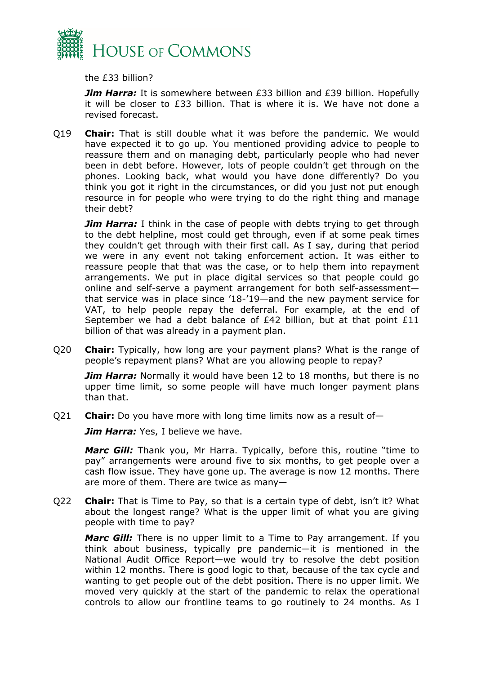

the £33 billion?

**Jim Harra:** It is somewhere between £33 billion and £39 billion. Hopefully it will be closer to £33 billion. That is where it is. We have not done a revised forecast.

Q19 **Chair:** That is still double what it was before the pandemic. We would have expected it to go up. You mentioned providing advice to people to reassure them and on managing debt, particularly people who had never been in debt before. However, lots of people couldn't get through on the phones. Looking back, what would you have done differently? Do you think you got it right in the circumstances, or did you just not put enough resource in for people who were trying to do the right thing and manage their debt?

*Jim Harra:* I think in the case of people with debts trying to get through to the debt helpline, most could get through, even if at some peak times they couldn't get through with their first call. As I say, during that period we were in any event not taking enforcement action. It was either to reassure people that that was the case, or to help them into repayment arrangements. We put in place digital services so that people could go online and self-serve a payment arrangement for both self-assessment that service was in place since '18-'19—and the new payment service for VAT, to help people repay the deferral. For example, at the end of September we had a debt balance of £42 billion, but at that point £11 billion of that was already in a payment plan.

Q20 **Chair:** Typically, how long are your payment plans? What is the range of people's repayment plans? What are you allowing people to repay?

**Jim Harra:** Normally it would have been 12 to 18 months, but there is no upper time limit, so some people will have much longer payment plans than that.

Q21 **Chair:** Do you have more with long time limits now as a result of—

**Jim Harra:** Yes, I believe we have.

*Marc Gill:* Thank you, Mr Harra. Typically, before this, routine "time to pay" arrangements were around five to six months, to get people over a cash flow issue. They have gone up. The average is now 12 months. There are more of them. There are twice as many—

Q22 **Chair:** That is Time to Pay, so that is a certain type of debt, isn't it? What about the longest range? What is the upper limit of what you are giving people with time to pay?

*Marc Gill:* There is no upper limit to a Time to Pay arrangement. If you think about business, typically pre pandemic—it is mentioned in the National Audit Office Report—we would try to resolve the debt position within 12 months. There is good logic to that, because of the tax cycle and wanting to get people out of the debt position. There is no upper limit. We moved very quickly at the start of the pandemic to relax the operational controls to allow our frontline teams to go routinely to 24 months. As I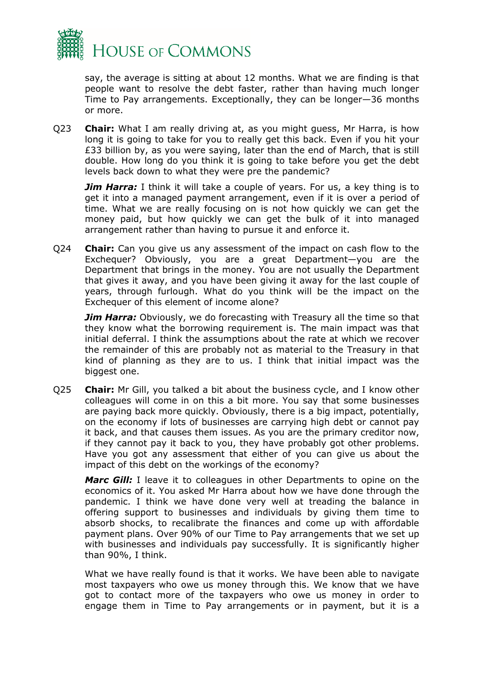

say, the average is sitting at about 12 months. What we are finding is that people want to resolve the debt faster, rather than having much longer Time to Pay arrangements. Exceptionally, they can be longer—36 months or more.

Q23 **Chair:** What I am really driving at, as you might guess, Mr Harra, is how long it is going to take for you to really get this back. Even if you hit your £33 billion by, as you were saying, later than the end of March, that is still double. How long do you think it is going to take before you get the debt levels back down to what they were pre the pandemic?

*Jim Harra:* I think it will take a couple of years. For us, a key thing is to get it into a managed payment arrangement, even if it is over a period of time. What we are really focusing on is not how quickly we can get the money paid, but how quickly we can get the bulk of it into managed arrangement rather than having to pursue it and enforce it.

Q24 **Chair:** Can you give us any assessment of the impact on cash flow to the Exchequer? Obviously, you are a great Department—you are the Department that brings in the money. You are not usually the Department that gives it away, and you have been giving it away for the last couple of years, through furlough. What do you think will be the impact on the Exchequer of this element of income alone?

*Jim Harra:* Obviously, we do forecasting with Treasury all the time so that they know what the borrowing requirement is. The main impact was that initial deferral. I think the assumptions about the rate at which we recover the remainder of this are probably not as material to the Treasury in that kind of planning as they are to us. I think that initial impact was the biggest one.

Q25 **Chair:** Mr Gill, you talked a bit about the business cycle, and I know other colleagues will come in on this a bit more. You say that some businesses are paying back more quickly. Obviously, there is a big impact, potentially, on the economy if lots of businesses are carrying high debt or cannot pay it back, and that causes them issues. As you are the primary creditor now, if they cannot pay it back to you, they have probably got other problems. Have you got any assessment that either of you can give us about the impact of this debt on the workings of the economy?

*Marc Gill:* I leave it to colleagues in other Departments to opine on the economics of it. You asked Mr Harra about how we have done through the pandemic. I think we have done very well at treading the balance in offering support to businesses and individuals by giving them time to absorb shocks, to recalibrate the finances and come up with affordable payment plans. Over 90% of our Time to Pay arrangements that we set up with businesses and individuals pay successfully. It is significantly higher than 90%, I think.

What we have really found is that it works. We have been able to navigate most taxpayers who owe us money through this. We know that we have got to contact more of the taxpayers who owe us money in order to engage them in Time to Pay arrangements or in payment, but it is a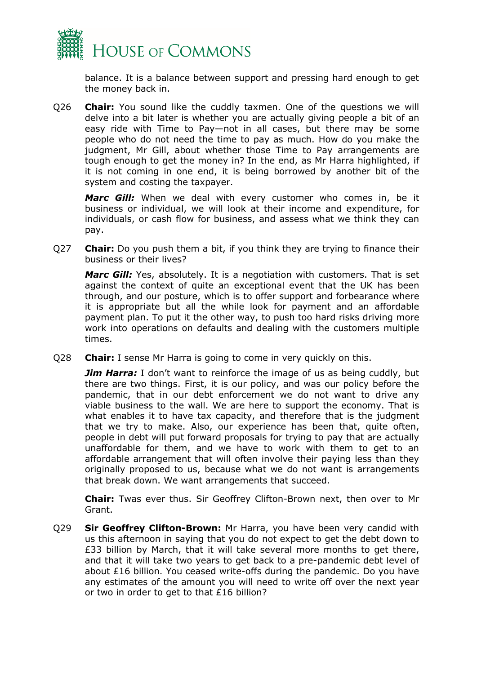

balance. It is a balance between support and pressing hard enough to get the money back in.

Q26 **Chair:** You sound like the cuddly taxmen. One of the questions we will delve into a bit later is whether you are actually giving people a bit of an easy ride with Time to Pay—not in all cases, but there may be some people who do not need the time to pay as much. How do you make the judgment, Mr Gill, about whether those Time to Pay arrangements are tough enough to get the money in? In the end, as Mr Harra highlighted, if it is not coming in one end, it is being borrowed by another bit of the system and costing the taxpayer.

*Marc Gill:* When we deal with every customer who comes in, be it business or individual, we will look at their income and expenditure, for individuals, or cash flow for business, and assess what we think they can pay.

Q27 **Chair:** Do you push them a bit, if you think they are trying to finance their business or their lives?

*Marc Gill:* Yes, absolutely. It is a negotiation with customers. That is set against the context of quite an exceptional event that the UK has been through, and our posture, which is to offer support and forbearance where it is appropriate but all the while look for payment and an affordable payment plan. To put it the other way, to push too hard risks driving more work into operations on defaults and dealing with the customers multiple times.

Q28 **Chair:** I sense Mr Harra is going to come in very quickly on this.

*Jim Harra:* I don't want to reinforce the image of us as being cuddly, but there are two things. First, it is our policy, and was our policy before the pandemic, that in our debt enforcement we do not want to drive any viable business to the wall. We are here to support the economy. That is what enables it to have tax capacity, and therefore that is the judgment that we try to make. Also, our experience has been that, quite often, people in debt will put forward proposals for trying to pay that are actually unaffordable for them, and we have to work with them to get to an affordable arrangement that will often involve their paying less than they originally proposed to us, because what we do not want is arrangements that break down. We want arrangements that succeed.

**Chair:** Twas ever thus. Sir Geoffrey Clifton-Brown next, then over to Mr Grant.

Q29 **Sir Geoffrey Clifton-Brown:** Mr Harra, you have been very candid with us this afternoon in saying that you do not expect to get the debt down to £33 billion by March, that it will take several more months to get there, and that it will take two years to get back to a pre-pandemic debt level of about £16 billion. You ceased write-offs during the pandemic. Do you have any estimates of the amount you will need to write off over the next year or two in order to get to that £16 billion?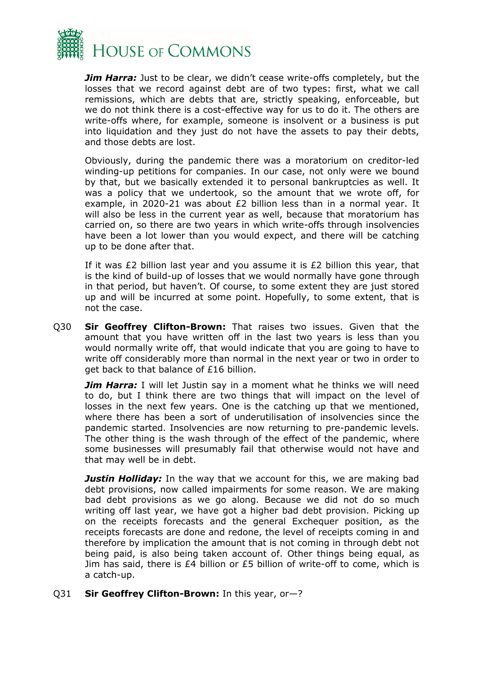

*Jim Harra:* Just to be clear, we didn't cease write-offs completely, but the losses that we record against debt are of two types: first, what we call remissions, which are debts that are, strictly speaking, enforceable, but we do not think there is a cost-effective way for us to do it. The others are write-offs where, for example, someone is insolvent or a business is put into liquidation and they just do not have the assets to pay their debts, and those debts are lost.

Obviously, during the pandemic there was a moratorium on creditor-led winding-up petitions for companies. In our case, not only were we bound by that, but we basically extended it to personal bankruptcies as well. It was a policy that we undertook, so the amount that we wrote off, for example, in 2020-21 was about £2 billion less than in a normal year. It will also be less in the current year as well, because that moratorium has carried on, so there are two years in which write-offs through insolvencies have been a lot lower than you would expect, and there will be catching up to be done after that.

If it was £2 billion last year and you assume it is  $£2$  billion this year, that is the kind of build-up of losses that we would normally have gone through in that period, but haven't. Of course, to some extent they are just stored up and will be incurred at some point. Hopefully, to some extent, that is not the case.

Q30 **Sir Geoffrey Clifton-Brown:** That raises two issues. Given that the amount that you have written off in the last two years is less than you would normally write off, that would indicate that you are going to have to write off considerably more than normal in the next year or two in order to get back to that balance of £16 billion.

*Jim Harra:* I will let Justin say in a moment what he thinks we will need to do, but I think there are two things that will impact on the level of losses in the next few years. One is the catching up that we mentioned, where there has been a sort of underutilisation of insolvencies since the pandemic started. Insolvencies are now returning to pre-pandemic levels. The other thing is the wash through of the effect of the pandemic, where some businesses will presumably fail that otherwise would not have and that may well be in debt.

**Justin Holliday:** In the way that we account for this, we are making bad debt provisions, now called impairments for some reason. We are making bad debt provisions as we go along. Because we did not do so much writing off last year, we have got a higher bad debt provision. Picking up on the receipts forecasts and the general Exchequer position, as the receipts forecasts are done and redone, the level of receipts coming in and therefore by implication the amount that is not coming in through debt not being paid, is also being taken account of. Other things being equal, as Jim has said, there is £4 billion or £5 billion of write-off to come, which is a catch-up.

Q31 **Sir Geoffrey Clifton-Brown:** In this year, or—?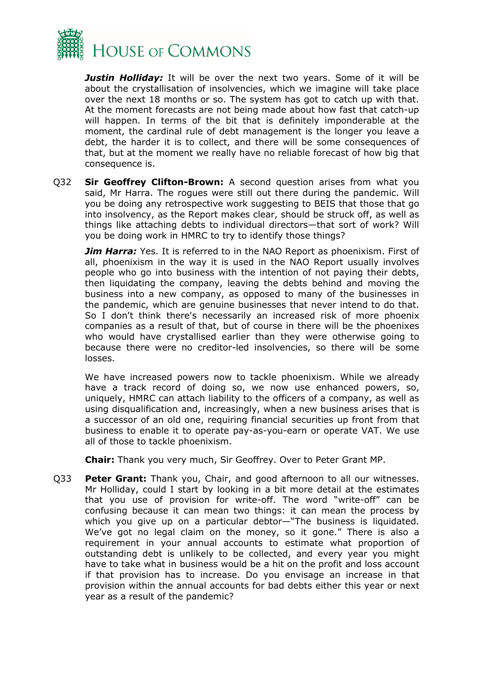

*Justin Holliday:* It will be over the next two years. Some of it will be about the crystallisation of insolvencies, which we imagine will take place over the next 18 months or so. The system has got to catch up with that. At the moment forecasts are not being made about how fast that catch-up will happen. In terms of the bit that is definitely imponderable at the moment, the cardinal rule of debt management is the longer you leave a debt, the harder it is to collect, and there will be some consequences of that, but at the moment we really have no reliable forecast of how big that consequence is.

Q32 **Sir Geoffrey Clifton-Brown:** A second question arises from what you said, Mr Harra. The rogues were still out there during the pandemic. Will you be doing any retrospective work suggesting to BEIS that those that go into insolvency, as the Report makes clear, should be struck off, as well as things like attaching debts to individual directors—that sort of work? Will you be doing work in HMRC to try to identify those things?

*Jim Harra:* Yes. It is referred to in the NAO Report as phoenixism. First of all, phoenixism in the way it is used in the NAO Report usually involves people who go into business with the intention of not paying their debts, then liquidating the company, leaving the debts behind and moving the business into a new company, as opposed to many of the businesses in the pandemic, which are genuine businesses that never intend to do that. So I don't think there's necessarily an increased risk of more phoenix companies as a result of that, but of course in there will be the phoenixes who would have crystallised earlier than they were otherwise going to because there were no creditor-led insolvencies, so there will be some losses.

We have increased powers now to tackle phoenixism. While we already have a track record of doing so, we now use enhanced powers, so, uniquely, HMRC can attach liability to the officers of a company, as well as using disqualification and, increasingly, when a new business arises that is a successor of an old one, requiring financial securities up front from that business to enable it to operate pay-as-you-earn or operate VAT. We use all of those to tackle phoenixism.

**Chair:** Thank you very much, Sir Geoffrey. Over to Peter Grant MP.

Q33 **Peter Grant:** Thank you, Chair, and good afternoon to all our witnesses. Mr Holliday, could I start by looking in a bit more detail at the estimates that you use of provision for write-off. The word "write-off" can be confusing because it can mean two things: it can mean the process by which you give up on a particular debtor—"The business is liquidated. We've got no legal claim on the money, so it gone." There is also a requirement in your annual accounts to estimate what proportion of outstanding debt is unlikely to be collected, and every year you might have to take what in business would be a hit on the profit and loss account if that provision has to increase. Do you envisage an increase in that provision within the annual accounts for bad debts either this year or next year as a result of the pandemic?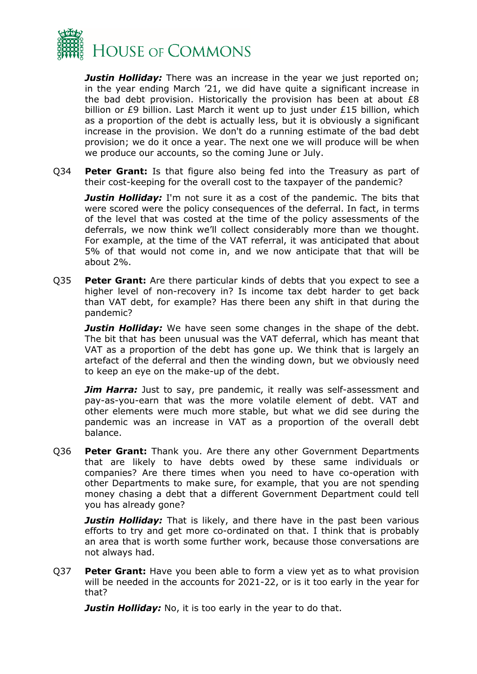

*Justin Holliday:* There was an increase in the year we just reported on; in the year ending March '21, we did have quite a significant increase in the bad debt provision. Historically the provision has been at about £8 billion or £9 billion. Last March it went up to just under £15 billion, which as a proportion of the debt is actually less, but it is obviously a significant increase in the provision. We don't do a running estimate of the bad debt provision; we do it once a year. The next one we will produce will be when we produce our accounts, so the coming June or July.

Q34 **Peter Grant:** Is that figure also being fed into the Treasury as part of their cost-keeping for the overall cost to the taxpayer of the pandemic?

*Justin Holliday:* I'm not sure it as a cost of the pandemic. The bits that were scored were the policy consequences of the deferral. In fact, in terms of the level that was costed at the time of the policy assessments of the deferrals, we now think we'll collect considerably more than we thought. For example, at the time of the VAT referral, it was anticipated that about 5% of that would not come in, and we now anticipate that that will be about 2%.

Q35 **Peter Grant:** Are there particular kinds of debts that you expect to see a higher level of non-recovery in? Is income tax debt harder to get back than VAT debt, for example? Has there been any shift in that during the pandemic?

*Justin Holliday:* We have seen some changes in the shape of the debt. The bit that has been unusual was the VAT deferral, which has meant that VAT as a proportion of the debt has gone up. We think that is largely an artefact of the deferral and then the winding down, but we obviously need to keep an eye on the make-up of the debt.

*Jim Harra:* Just to say, pre pandemic, it really was self-assessment and pay-as-you-earn that was the more volatile element of debt. VAT and other elements were much more stable, but what we did see during the pandemic was an increase in VAT as a proportion of the overall debt balance.

Q36 **Peter Grant:** Thank you. Are there any other Government Departments that are likely to have debts owed by these same individuals or companies? Are there times when you need to have co-operation with other Departments to make sure, for example, that you are not spending money chasing a debt that a different Government Department could tell you has already gone?

**Justin Holliday:** That is likely, and there have in the past been various efforts to try and get more co-ordinated on that. I think that is probably an area that is worth some further work, because those conversations are not always had.

Q37 **Peter Grant:** Have you been able to form a view yet as to what provision will be needed in the accounts for 2021-22, or is it too early in the year for that?

*Justin Holliday:* No, it is too early in the year to do that.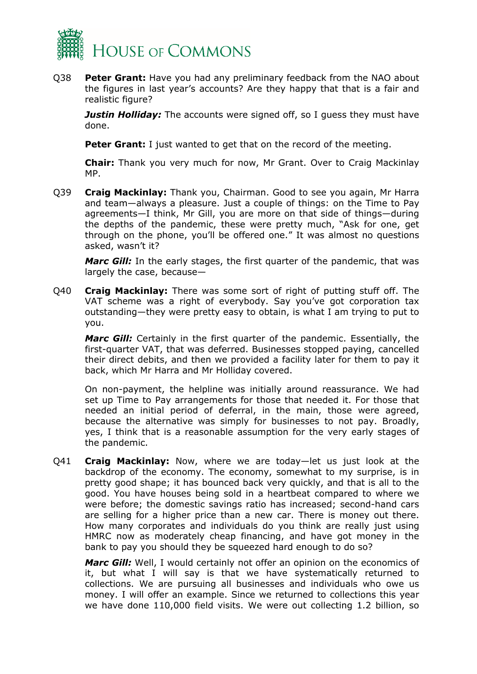

Q38 **Peter Grant:** Have you had any preliminary feedback from the NAO about the figures in last year's accounts? Are they happy that that is a fair and realistic figure?

*Justin Holliday:* The accounts were signed off, so I guess they must have done.

**Peter Grant:** I just wanted to get that on the record of the meeting.

**Chair:** Thank you very much for now, Mr Grant. Over to Craig Mackinlay MP.

Q39 **Craig Mackinlay:** Thank you, Chairman. Good to see you again, Mr Harra and team—always a pleasure. Just a couple of things: on the Time to Pay agreements—I think, Mr Gill, you are more on that side of things—during the depths of the pandemic, these were pretty much, "Ask for one, get through on the phone, you'll be offered one." It was almost no questions asked, wasn't it?

*Marc Gill:* In the early stages, the first quarter of the pandemic, that was largely the case, because—

Q40 **Craig Mackinlay:** There was some sort of right of putting stuff off. The VAT scheme was a right of everybody. Say you've got corporation tax outstanding—they were pretty easy to obtain, is what I am trying to put to you.

*Marc Gill:* Certainly in the first quarter of the pandemic. Essentially, the first-quarter VAT, that was deferred. Businesses stopped paying, cancelled their direct debits, and then we provided a facility later for them to pay it back, which Mr Harra and Mr Holliday covered.

On non-payment, the helpline was initially around reassurance. We had set up Time to Pay arrangements for those that needed it. For those that needed an initial period of deferral, in the main, those were agreed, because the alternative was simply for businesses to not pay. Broadly, yes, I think that is a reasonable assumption for the very early stages of the pandemic.

Q41 **Craig Mackinlay:** Now, where we are today—let us just look at the backdrop of the economy. The economy, somewhat to my surprise, is in pretty good shape; it has bounced back very quickly, and that is all to the good. You have houses being sold in a heartbeat compared to where we were before; the domestic savings ratio has increased; second-hand cars are selling for a higher price than a new car. There is money out there. How many corporates and individuals do you think are really just using HMRC now as moderately cheap financing, and have got money in the bank to pay you should they be squeezed hard enough to do so?

*Marc Gill:* Well, I would certainly not offer an opinion on the economics of it, but what I will say is that we have systematically returned to collections. We are pursuing all businesses and individuals who owe us money. I will offer an example. Since we returned to collections this year we have done 110,000 field visits. We were out collecting 1.2 billion, so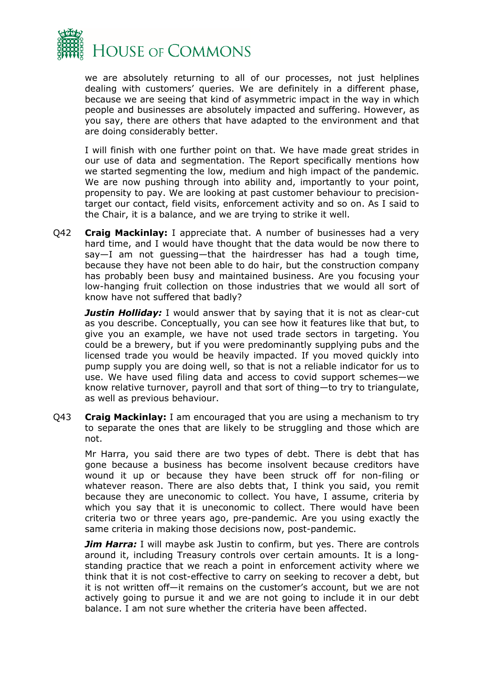

we are absolutely returning to all of our processes, not just helplines dealing with customers' queries. We are definitely in a different phase, because we are seeing that kind of asymmetric impact in the way in which people and businesses are absolutely impacted and suffering. However, as you say, there are others that have adapted to the environment and that are doing considerably better.

I will finish with one further point on that. We have made great strides in our use of data and segmentation. The Report specifically mentions how we started segmenting the low, medium and high impact of the pandemic. We are now pushing through into ability and, importantly to your point, propensity to pay. We are looking at past customer behaviour to precisiontarget our contact, field visits, enforcement activity and so on. As I said to the Chair, it is a balance, and we are trying to strike it well.

Q42 **Craig Mackinlay:** I appreciate that. A number of businesses had a very hard time, and I would have thought that the data would be now there to say—I am not guessing—that the hairdresser has had a tough time, because they have not been able to do hair, but the construction company has probably been busy and maintained business. Are you focusing your low-hanging fruit collection on those industries that we would all sort of know have not suffered that badly?

**Justin Holliday:** I would answer that by saying that it is not as clear-cut as you describe. Conceptually, you can see how it features like that but, to give you an example, we have not used trade sectors in targeting. You could be a brewery, but if you were predominantly supplying pubs and the licensed trade you would be heavily impacted. If you moved quickly into pump supply you are doing well, so that is not a reliable indicator for us to use. We have used filing data and access to covid support schemes—we know relative turnover, payroll and that sort of thing—to try to triangulate, as well as previous behaviour.

Q43 **Craig Mackinlay:** I am encouraged that you are using a mechanism to try to separate the ones that are likely to be struggling and those which are not.

Mr Harra, you said there are two types of debt. There is debt that has gone because a business has become insolvent because creditors have wound it up or because they have been struck off for non-filing or whatever reason. There are also debts that, I think you said, you remit because they are uneconomic to collect. You have, I assume, criteria by which you say that it is uneconomic to collect. There would have been criteria two or three years ago, pre-pandemic. Are you using exactly the same criteria in making those decisions now, post-pandemic.

*Jim Harra:* I will maybe ask Justin to confirm, but yes. There are controls around it, including Treasury controls over certain amounts. It is a longstanding practice that we reach a point in enforcement activity where we think that it is not cost-effective to carry on seeking to recover a debt, but it is not written off—it remains on the customer's account, but we are not actively going to pursue it and we are not going to include it in our debt balance. I am not sure whether the criteria have been affected.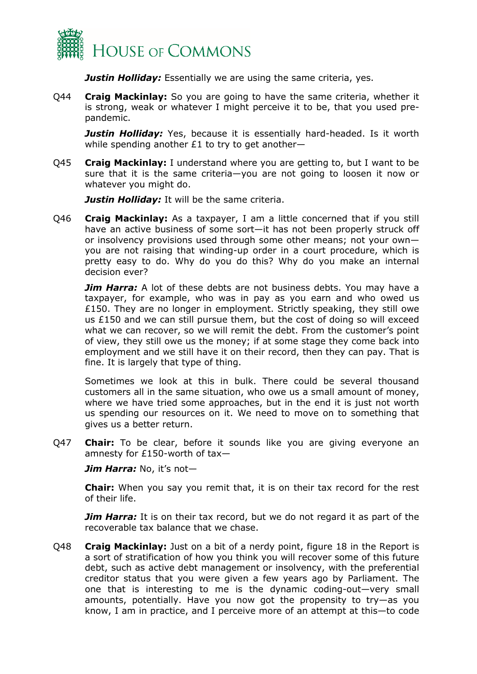

*Justin Holliday:* Essentially we are using the same criteria, yes.

Q44 **Craig Mackinlay:** So you are going to have the same criteria, whether it is strong, weak or whatever I might perceive it to be, that you used prepandemic.

**Justin Holliday:** Yes, because it is essentially hard-headed. Is it worth while spending another £1 to try to get another—

Q45 **Craig Mackinlay:** I understand where you are getting to, but I want to be sure that it is the same criteria—you are not going to loosen it now or whatever you might do.

*Justin Hollidav:* It will be the same criteria.

Q46 **Craig Mackinlay:** As a taxpayer, I am a little concerned that if you still have an active business of some sort—it has not been properly struck off or insolvency provisions used through some other means; not your own you are not raising that winding-up order in a court procedure, which is pretty easy to do. Why do you do this? Why do you make an internal decision ever?

**Jim Harra:** A lot of these debts are not business debts. You may have a taxpayer, for example, who was in pay as you earn and who owed us £150. They are no longer in employment. Strictly speaking, they still owe us £150 and we can still pursue them, but the cost of doing so will exceed what we can recover, so we will remit the debt. From the customer's point of view, they still owe us the money; if at some stage they come back into employment and we still have it on their record, then they can pay. That is fine. It is largely that type of thing.

Sometimes we look at this in bulk. There could be several thousand customers all in the same situation, who owe us a small amount of money, where we have tried some approaches, but in the end it is just not worth us spending our resources on it. We need to move on to something that gives us a better return.

Q47 **Chair:** To be clear, before it sounds like you are giving everyone an amnesty for £150-worth of tax—

*Jim Harra:* No, it's not—

**Chair:** When you say you remit that, it is on their tax record for the rest of their life.

*Jim Harra:* It is on their tax record, but we do not regard it as part of the recoverable tax balance that we chase.

Q48 **Craig Mackinlay:** Just on a bit of a nerdy point, figure 18 in the Report is a sort of stratification of how you think you will recover some of this future debt, such as active debt management or insolvency, with the preferential creditor status that you were given a few years ago by Parliament. The one that is interesting to me is the dynamic coding-out—very small amounts, potentially. Have you now got the propensity to try—as you know, I am in practice, and I perceive more of an attempt at this—to code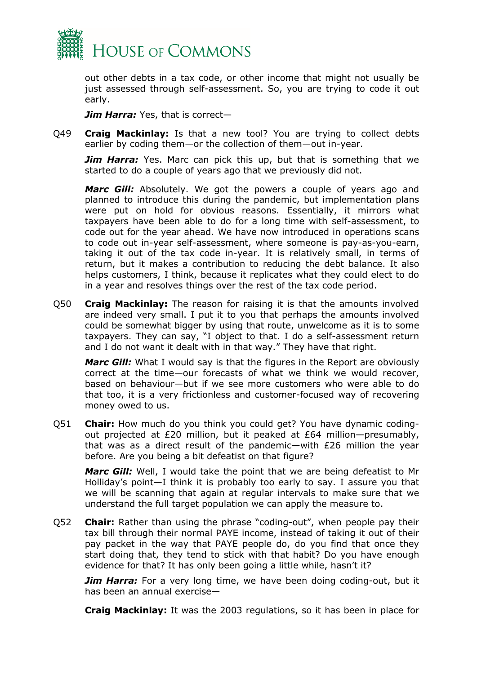

out other debts in a tax code, or other income that might not usually be just assessed through self-assessment. So, you are trying to code it out early.

*Jim Harra:* Yes, that is correct—

Q49 **Craig Mackinlay:** Is that a new tool? You are trying to collect debts earlier by coding them—or the collection of them—out in-year.

*Jim Harra:* Yes. Marc can pick this up, but that is something that we started to do a couple of years ago that we previously did not.

*Marc Gill:* Absolutely. We got the powers a couple of years ago and planned to introduce this during the pandemic, but implementation plans were put on hold for obvious reasons. Essentially, it mirrors what taxpayers have been able to do for a long time with self-assessment, to code out for the year ahead. We have now introduced in operations scans to code out in-year self-assessment, where someone is pay-as-you-earn, taking it out of the tax code in-year. It is relatively small, in terms of return, but it makes a contribution to reducing the debt balance. It also helps customers, I think, because it replicates what they could elect to do in a year and resolves things over the rest of the tax code period.

Q50 **Craig Mackinlay:** The reason for raising it is that the amounts involved are indeed very small. I put it to you that perhaps the amounts involved could be somewhat bigger by using that route, unwelcome as it is to some taxpayers. They can say, "I object to that. I do a self-assessment return and I do not want it dealt with in that way." They have that right.

*Marc Gill:* What I would say is that the figures in the Report are obviously correct at the time—our forecasts of what we think we would recover, based on behaviour—but if we see more customers who were able to do that too, it is a very frictionless and customer-focused way of recovering money owed to us.

Q51 **Chair:** How much do you think you could get? You have dynamic codingout projected at £20 million, but it peaked at £64 million—presumably, that was as a direct result of the pandemic—with £26 million the year before. Are you being a bit defeatist on that figure?

*Marc Gill:* Well, I would take the point that we are being defeatist to Mr Holliday's point—I think it is probably too early to say. I assure you that we will be scanning that again at regular intervals to make sure that we understand the full target population we can apply the measure to.

Q52 **Chair:** Rather than using the phrase "coding-out", when people pay their tax bill through their normal PAYE income, instead of taking it out of their pay packet in the way that PAYE people do, do you find that once they start doing that, they tend to stick with that habit? Do you have enough evidence for that? It has only been going a little while, hasn't it?

**Jim Harra:** For a very long time, we have been doing coding-out, but it has been an annual exercise—

**Craig Mackinlay:** It was the 2003 regulations, so it has been in place for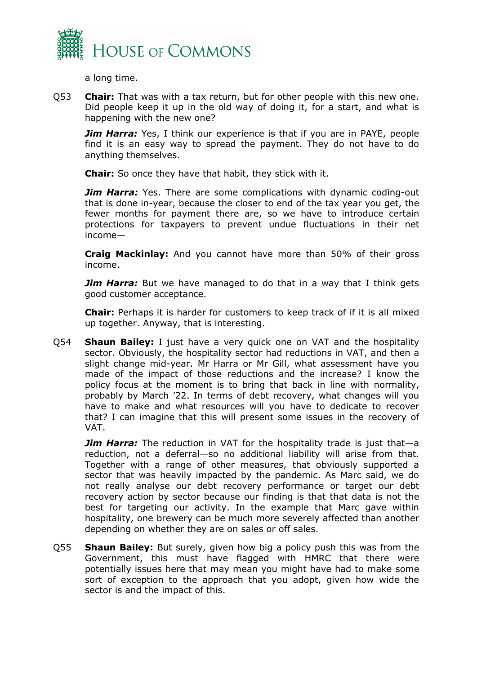

a long time.

Q53 **Chair:** That was with a tax return, but for other people with this new one. Did people keep it up in the old way of doing it, for a start, and what is happening with the new one?

*Jim Harra:* Yes, I think our experience is that if you are in PAYE, people find it is an easy way to spread the payment. They do not have to do anything themselves.

**Chair:** So once they have that habit, they stick with it.

*Jim Harra:* Yes. There are some complications with dynamic coding-out that is done in-year, because the closer to end of the tax year you get, the fewer months for payment there are, so we have to introduce certain protections for taxpayers to prevent undue fluctuations in their net income—

**Craig Mackinlay:** And you cannot have more than 50% of their gross income.

*Jim Harra:* But we have managed to do that in a way that I think gets good customer acceptance.

**Chair:** Perhaps it is harder for customers to keep track of if it is all mixed up together. Anyway, that is interesting.

Q54 **Shaun Bailey:** I just have a very quick one on VAT and the hospitality sector. Obviously, the hospitality sector had reductions in VAT, and then a slight change mid-year. Mr Harra or Mr Gill, what assessment have you made of the impact of those reductions and the increase? I know the policy focus at the moment is to bring that back in line with normality, probably by March '22. In terms of debt recovery, what changes will you have to make and what resources will you have to dedicate to recover that? I can imagine that this will present some issues in the recovery of VAT.

*Jim Harra:* The reduction in VAT for the hospitality trade is just that—a reduction, not a deferral—so no additional liability will arise from that. Together with a range of other measures, that obviously supported a sector that was heavily impacted by the pandemic. As Marc said, we do not really analyse our debt recovery performance or target our debt recovery action by sector because our finding is that that data is not the best for targeting our activity. In the example that Marc gave within hospitality, one brewery can be much more severely affected than another depending on whether they are on sales or off sales.

Q55 **Shaun Bailey:** But surely, given how big a policy push this was from the Government, this must have flagged with HMRC that there were potentially issues here that may mean you might have had to make some sort of exception to the approach that you adopt, given how wide the sector is and the impact of this.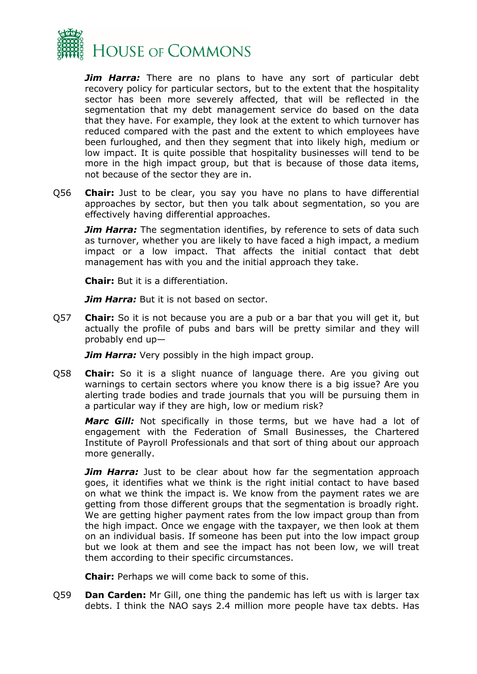

*Jim Harra:* There are no plans to have any sort of particular debt recovery policy for particular sectors, but to the extent that the hospitality sector has been more severely affected, that will be reflected in the segmentation that my debt management service do based on the data that they have. For example, they look at the extent to which turnover has reduced compared with the past and the extent to which employees have been furloughed, and then they segment that into likely high, medium or low impact. It is quite possible that hospitality businesses will tend to be more in the high impact group, but that is because of those data items, not because of the sector they are in.

Q56 **Chair:** Just to be clear, you say you have no plans to have differential approaches by sector, but then you talk about segmentation, so you are effectively having differential approaches.

**Jim Harra:** The segmentation identifies, by reference to sets of data such as turnover, whether you are likely to have faced a high impact, a medium impact or a low impact. That affects the initial contact that debt management has with you and the initial approach they take.

**Chair:** But it is a differentiation.

*Jim Harra:* But it is not based on sector.

Q57 **Chair:** So it is not because you are a pub or a bar that you will get it, but actually the profile of pubs and bars will be pretty similar and they will probably end up—

*Jim Harra:* Very possibly in the high impact group.

Q58 **Chair:** So it is a slight nuance of language there. Are you giving out warnings to certain sectors where you know there is a big issue? Are you alerting trade bodies and trade journals that you will be pursuing them in a particular way if they are high, low or medium risk?

Marc Gill: Not specifically in those terms, but we have had a lot of engagement with the Federation of Small Businesses, the Chartered Institute of Payroll Professionals and that sort of thing about our approach more generally.

*Jim Harra:* Just to be clear about how far the segmentation approach goes, it identifies what we think is the right initial contact to have based on what we think the impact is. We know from the payment rates we are getting from those different groups that the segmentation is broadly right. We are getting higher payment rates from the low impact group than from the high impact. Once we engage with the taxpayer, we then look at them on an individual basis. If someone has been put into the low impact group but we look at them and see the impact has not been low, we will treat them according to their specific circumstances.

**Chair:** Perhaps we will come back to some of this.

Q59 **Dan Carden:** Mr Gill, one thing the pandemic has left us with is larger tax debts. I think the NAO says 2.4 million more people have tax debts. Has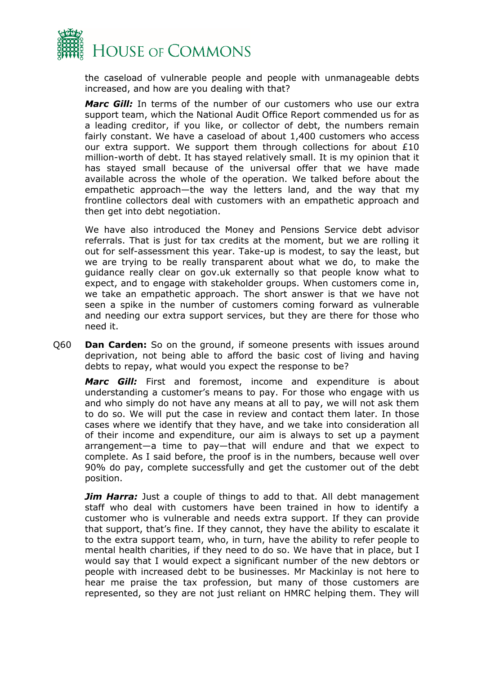

the caseload of vulnerable people and people with unmanageable debts increased, and how are you dealing with that?

*Marc Gill:* In terms of the number of our customers who use our extra support team, which the National Audit Office Report commended us for as a leading creditor, if you like, or collector of debt, the numbers remain fairly constant. We have a caseload of about 1,400 customers who access our extra support. We support them through collections for about  $E10$ million-worth of debt. It has stayed relatively small. It is my opinion that it has stayed small because of the universal offer that we have made available across the whole of the operation. We talked before about the empathetic approach—the way the letters land, and the way that my frontline collectors deal with customers with an empathetic approach and then get into debt negotiation.

We have also introduced the Money and Pensions Service debt advisor referrals. That is just for tax credits at the moment, but we are rolling it out for self-assessment this year. Take-up is modest, to say the least, but we are trying to be really transparent about what we do, to make the guidance really clear on gov.uk externally so that people know what to expect, and to engage with stakeholder groups. When customers come in, we take an empathetic approach. The short answer is that we have not seen a spike in the number of customers coming forward as vulnerable and needing our extra support services, but they are there for those who need it.

Q60 **Dan Carden:** So on the ground, if someone presents with issues around deprivation, not being able to afford the basic cost of living and having debts to repay, what would you expect the response to be?

*Marc Gill:* First and foremost, income and expenditure is about understanding a customer's means to pay. For those who engage with us and who simply do not have any means at all to pay, we will not ask them to do so. We will put the case in review and contact them later. In those cases where we identify that they have, and we take into consideration all of their income and expenditure, our aim is always to set up a payment arrangement—a time to pay—that will endure and that we expect to complete. As I said before, the proof is in the numbers, because well over 90% do pay, complete successfully and get the customer out of the debt position.

**Jim Harra:** Just a couple of things to add to that. All debt management staff who deal with customers have been trained in how to identify a customer who is vulnerable and needs extra support. If they can provide that support, that's fine. If they cannot, they have the ability to escalate it to the extra support team, who, in turn, have the ability to refer people to mental health charities, if they need to do so. We have that in place, but I would say that I would expect a significant number of the new debtors or people with increased debt to be businesses. Mr Mackinlay is not here to hear me praise the tax profession, but many of those customers are represented, so they are not just reliant on HMRC helping them. They will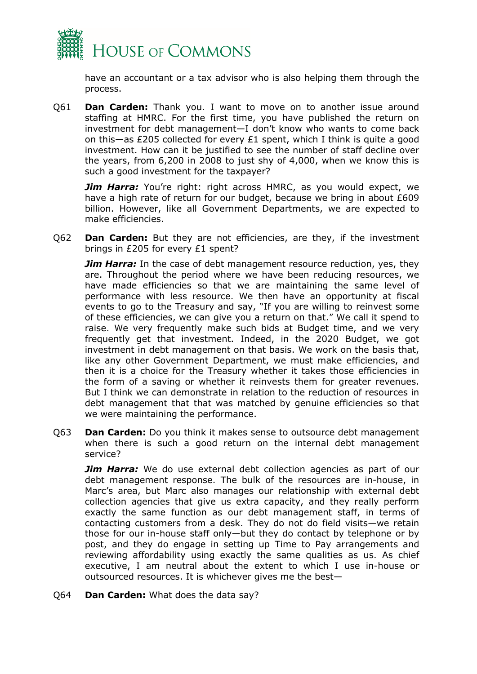

have an accountant or a tax advisor who is also helping them through the process.

Q61 **Dan Carden:** Thank you. I want to move on to another issue around staffing at HMRC. For the first time, you have published the return on investment for debt management—I don't know who wants to come back on this—as £205 collected for every £1 spent, which I think is quite a good investment. How can it be justified to see the number of staff decline over the years, from 6,200 in 2008 to just shy of 4,000, when we know this is such a good investment for the taxpayer?

**Jim Harra:** You're right: right across HMRC, as you would expect, we have a high rate of return for our budget, because we bring in about £609 billion. However, like all Government Departments, we are expected to make efficiencies.

Q62 **Dan Carden:** But they are not efficiencies, are they, if the investment brings in £205 for every £1 spent?

*Jim Harra:* In the case of debt management resource reduction, yes, they are. Throughout the period where we have been reducing resources, we have made efficiencies so that we are maintaining the same level of performance with less resource. We then have an opportunity at fiscal events to go to the Treasury and say, "If you are willing to reinvest some of these efficiencies, we can give you a return on that." We call it spend to raise. We very frequently make such bids at Budget time, and we very frequently get that investment. Indeed, in the 2020 Budget, we got investment in debt management on that basis. We work on the basis that, like any other Government Department, we must make efficiencies, and then it is a choice for the Treasury whether it takes those efficiencies in the form of a saving or whether it reinvests them for greater revenues. But I think we can demonstrate in relation to the reduction of resources in debt management that that was matched by genuine efficiencies so that we were maintaining the performance.

Q63 **Dan Carden:** Do you think it makes sense to outsource debt management when there is such a good return on the internal debt management service?

*Jim Harra:* We do use external debt collection agencies as part of our debt management response. The bulk of the resources are in-house, in Marc's area, but Marc also manages our relationship with external debt collection agencies that give us extra capacity, and they really perform exactly the same function as our debt management staff, in terms of contacting customers from a desk. They do not do field visits—we retain those for our in-house staff only—but they do contact by telephone or by post, and they do engage in setting up Time to Pay arrangements and reviewing affordability using exactly the same qualities as us. As chief executive, I am neutral about the extent to which I use in-house or outsourced resources. It is whichever gives me the best—

Q64 **Dan Carden:** What does the data say?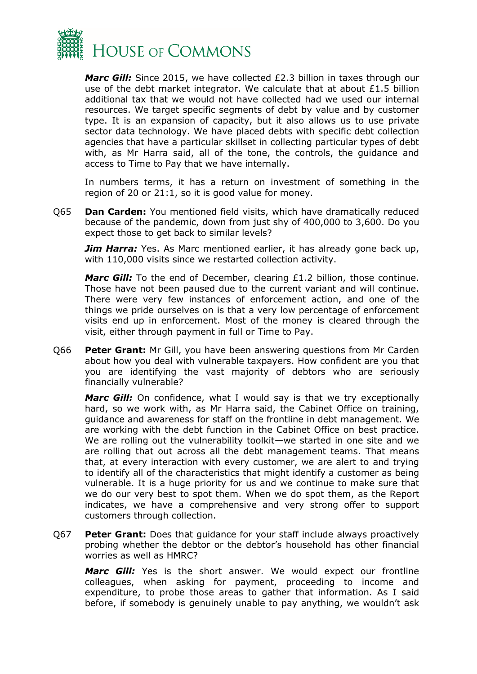

*Marc Gill:* Since 2015, we have collected £2.3 billion in taxes through our use of the debt market integrator. We calculate that at about £1.5 billion additional tax that we would not have collected had we used our internal resources. We target specific segments of debt by value and by customer type. It is an expansion of capacity, but it also allows us to use private sector data technology. We have placed debts with specific debt collection agencies that have a particular skillset in collecting particular types of debt with, as Mr Harra said, all of the tone, the controls, the guidance and access to Time to Pay that we have internally.

In numbers terms, it has a return on investment of something in the region of 20 or 21:1, so it is good value for money.

Q65 **Dan Carden:** You mentioned field visits, which have dramatically reduced because of the pandemic, down from just shy of 400,000 to 3,600. Do you expect those to get back to similar levels?

*Jim Harra:* Yes. As Marc mentioned earlier, it has already gone back up, with 110,000 visits since we restarted collection activity.

*Marc Gill:* To the end of December, clearing £1.2 billion, those continue. Those have not been paused due to the current variant and will continue. There were very few instances of enforcement action, and one of the things we pride ourselves on is that a very low percentage of enforcement visits end up in enforcement. Most of the money is cleared through the visit, either through payment in full or Time to Pay.

Q66 **Peter Grant:** Mr Gill, you have been answering questions from Mr Carden about how you deal with vulnerable taxpayers. How confident are you that you are identifying the vast majority of debtors who are seriously financially vulnerable?

**Marc Gill:** On confidence, what I would say is that we try exceptionally hard, so we work with, as Mr Harra said, the Cabinet Office on training, guidance and awareness for staff on the frontline in debt management. We are working with the debt function in the Cabinet Office on best practice. We are rolling out the vulnerability toolkit—we started in one site and we are rolling that out across all the debt management teams. That means that, at every interaction with every customer, we are alert to and trying to identify all of the characteristics that might identify a customer as being vulnerable. It is a huge priority for us and we continue to make sure that we do our very best to spot them. When we do spot them, as the Report indicates, we have a comprehensive and very strong offer to support customers through collection.

Q67 **Peter Grant:** Does that guidance for your staff include always proactively probing whether the debtor or the debtor's household has other financial worries as well as HMRC?

*Marc Gill:* Yes is the short answer. We would expect our frontline colleagues, when asking for payment, proceeding to income and expenditure, to probe those areas to gather that information. As I said before, if somebody is genuinely unable to pay anything, we wouldn't ask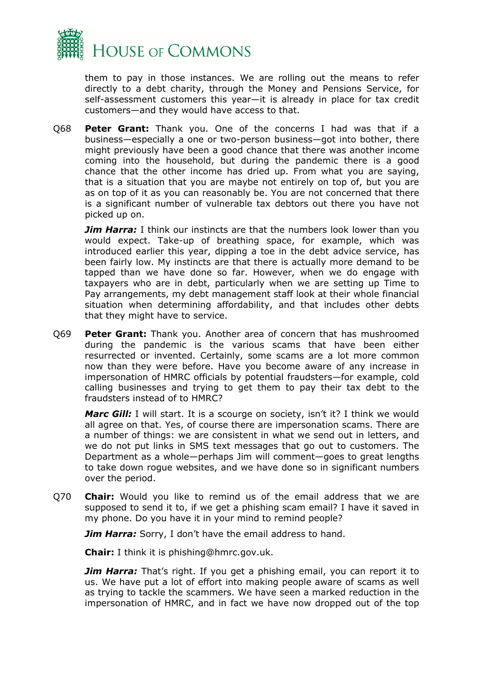

them to pay in those instances. We are rolling out the means to refer directly to a debt charity, through the Money and Pensions Service, for self-assessment customers this year—it is already in place for tax credit customers—and they would have access to that.

Q68 **Peter Grant:** Thank you. One of the concerns I had was that if a business—especially a one or two-person business—got into bother, there might previously have been a good chance that there was another income coming into the household, but during the pandemic there is a good chance that the other income has dried up. From what you are saying, that is a situation that you are maybe not entirely on top of, but you are as on top of it as you can reasonably be. You are not concerned that there is a significant number of vulnerable tax debtors out there you have not picked up on.

**Jim Harra:** I think our instincts are that the numbers look lower than you would expect. Take-up of breathing space, for example, which was introduced earlier this year, dipping a toe in the debt advice service, has been fairly low. My instincts are that there is actually more demand to be tapped than we have done so far. However, when we do engage with taxpayers who are in debt, particularly when we are setting up Time to Pay arrangements, my debt management staff look at their whole financial situation when determining affordability, and that includes other debts that they might have to service.

Q69 **Peter Grant:** Thank you. Another area of concern that has mushroomed during the pandemic is the various scams that have been either resurrected or invented. Certainly, some scams are a lot more common now than they were before. Have you become aware of any increase in impersonation of HMRC officials by potential fraudsters—for example, cold calling businesses and trying to get them to pay their tax debt to the fraudsters instead of to HMRC?

*Marc Gill:* I will start. It is a scourge on society, isn't it? I think we would all agree on that. Yes, of course there are impersonation scams. There are a number of things: we are consistent in what we send out in letters, and we do not put links in SMS text messages that go out to customers. The Department as a whole—perhaps Jim will comment—goes to great lengths to take down rogue websites, and we have done so in significant numbers over the period.

Q70 **Chair:** Would you like to remind us of the email address that we are supposed to send it to, if we get a phishing scam email? I have it saved in my phone. Do you have it in your mind to remind people?

**Jim Harra:** Sorry, I don't have the email address to hand.

**Chair:** I think it is phishing@hmrc.gov.uk.

*Jim Harra:* That's right. If you get a phishing email, you can report it to us. We have put a lot of effort into making people aware of scams as well as trying to tackle the scammers. We have seen a marked reduction in the impersonation of HMRC, and in fact we have now dropped out of the top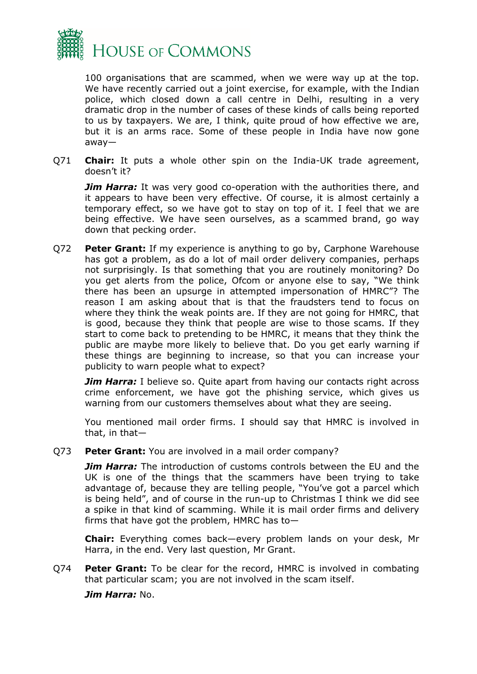

100 organisations that are scammed, when we were way up at the top. We have recently carried out a joint exercise, for example, with the Indian police, which closed down a call centre in Delhi, resulting in a very dramatic drop in the number of cases of these kinds of calls being reported to us by taxpayers. We are, I think, quite proud of how effective we are, but it is an arms race. Some of these people in India have now gone away—

Q71 **Chair:** It puts a whole other spin on the India-UK trade agreement, doesn't it?

*Jim Harra:* It was very good co-operation with the authorities there, and it appears to have been very effective. Of course, it is almost certainly a temporary effect, so we have got to stay on top of it. I feel that we are being effective. We have seen ourselves, as a scammed brand, go way down that pecking order.

Q72 **Peter Grant:** If my experience is anything to go by, Carphone Warehouse has got a problem, as do a lot of mail order delivery companies, perhaps not surprisingly. Is that something that you are routinely monitoring? Do you get alerts from the police, Ofcom or anyone else to say, "We think there has been an upsurge in attempted impersonation of HMRC"? The reason I am asking about that is that the fraudsters tend to focus on where they think the weak points are. If they are not going for HMRC, that is good, because they think that people are wise to those scams. If they start to come back to pretending to be HMRC, it means that they think the public are maybe more likely to believe that. Do you get early warning if these things are beginning to increase, so that you can increase your publicity to warn people what to expect?

*Jim Harra:* I believe so. Ouite apart from having our contacts right across crime enforcement, we have got the phishing service, which gives us warning from our customers themselves about what they are seeing.

You mentioned mail order firms. I should say that HMRC is involved in that, in that—

Q73 **Peter Grant:** You are involved in a mail order company?

**Jim Harra:** The introduction of customs controls between the EU and the UK is one of the things that the scammers have been trying to take advantage of, because they are telling people, "You've got a parcel which is being held", and of course in the run-up to Christmas I think we did see a spike in that kind of scamming. While it is mail order firms and delivery firms that have got the problem, HMRC has to—

**Chair:** Everything comes back—every problem lands on your desk, Mr Harra, in the end. Very last question, Mr Grant.

Q74 **Peter Grant:** To be clear for the record, HMRC is involved in combating that particular scam; you are not involved in the scam itself.

*Jim Harra:* No.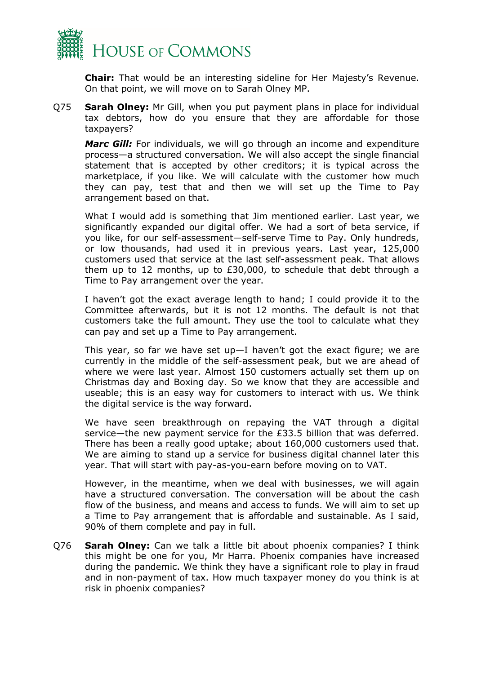

**Chair:** That would be an interesting sideline for Her Majesty's Revenue. On that point, we will move on to Sarah Olney MP.

Q75 **Sarah Olney:** Mr Gill, when you put payment plans in place for individual tax debtors, how do you ensure that they are affordable for those taxpayers?

*Marc Gill:* For individuals, we will go through an income and expenditure process—a structured conversation. We will also accept the single financial statement that is accepted by other creditors; it is typical across the marketplace, if you like. We will calculate with the customer how much they can pay, test that and then we will set up the Time to Pay arrangement based on that.

What I would add is something that Jim mentioned earlier. Last year, we significantly expanded our digital offer. We had a sort of beta service, if you like, for our self-assessment—self-serve Time to Pay. Only hundreds, or low thousands, had used it in previous years. Last year, 125,000 customers used that service at the last self-assessment peak. That allows them up to 12 months, up to £30,000, to schedule that debt through a Time to Pay arrangement over the year.

I haven't got the exact average length to hand; I could provide it to the Committee afterwards, but it is not 12 months. The default is not that customers take the full amount. They use the tool to calculate what they can pay and set up a Time to Pay arrangement.

This year, so far we have set up—I haven't got the exact figure; we are currently in the middle of the self-assessment peak, but we are ahead of where we were last year. Almost 150 customers actually set them up on Christmas day and Boxing day. So we know that they are accessible and useable; this is an easy way for customers to interact with us. We think the digital service is the way forward.

We have seen breakthrough on repaying the VAT through a digital service—the new payment service for the £33.5 billion that was deferred. There has been a really good uptake; about 160,000 customers used that. We are aiming to stand up a service for business digital channel later this year. That will start with pay-as-you-earn before moving on to VAT.

However, in the meantime, when we deal with businesses, we will again have a structured conversation. The conversation will be about the cash flow of the business, and means and access to funds. We will aim to set up a Time to Pay arrangement that is affordable and sustainable. As I said, 90% of them complete and pay in full.

Q76 **Sarah Olney:** Can we talk a little bit about phoenix companies? I think this might be one for you, Mr Harra. Phoenix companies have increased during the pandemic. We think they have a significant role to play in fraud and in non-payment of tax. How much taxpayer money do you think is at risk in phoenix companies?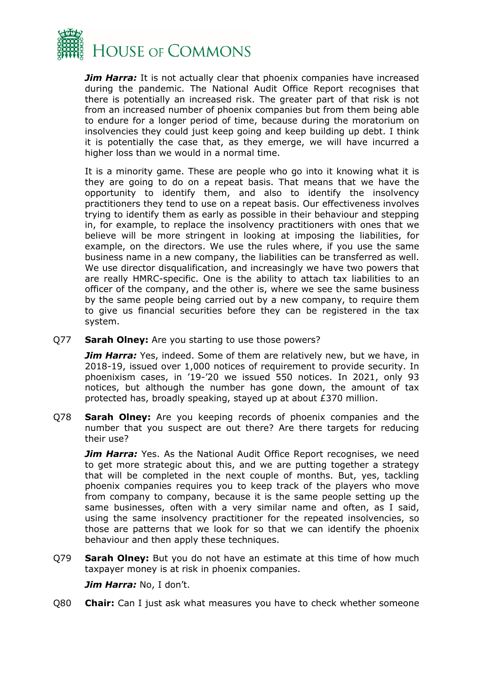

*Jim Harra:* It is not actually clear that phoenix companies have increased during the pandemic. The National Audit Office Report recognises that there is potentially an increased risk. The greater part of that risk is not from an increased number of phoenix companies but from them being able to endure for a longer period of time, because during the moratorium on insolvencies they could just keep going and keep building up debt. I think it is potentially the case that, as they emerge, we will have incurred a higher loss than we would in a normal time.

It is a minority game. These are people who go into it knowing what it is they are going to do on a repeat basis. That means that we have the opportunity to identify them, and also to identify the insolvency practitioners they tend to use on a repeat basis. Our effectiveness involves trying to identify them as early as possible in their behaviour and stepping in, for example, to replace the insolvency practitioners with ones that we believe will be more stringent in looking at imposing the liabilities, for example, on the directors. We use the rules where, if you use the same business name in a new company, the liabilities can be transferred as well. We use director disqualification, and increasingly we have two powers that are really HMRC-specific. One is the ability to attach tax liabilities to an officer of the company, and the other is, where we see the same business by the same people being carried out by a new company, to require them to give us financial securities before they can be registered in the tax system.

Q77 **Sarah Olney:** Are you starting to use those powers?

**Jim Harra:** Yes, indeed. Some of them are relatively new, but we have, in 2018-19, issued over 1,000 notices of requirement to provide security. In phoenixism cases, in '19-'20 we issued 550 notices. In 2021, only 93 notices, but although the number has gone down, the amount of tax protected has, broadly speaking, stayed up at about £370 million.

Q78 **Sarah Olney:** Are you keeping records of phoenix companies and the number that you suspect are out there? Are there targets for reducing their use?

**Jim Harra:** Yes. As the National Audit Office Report recognises, we need to get more strategic about this, and we are putting together a strategy that will be completed in the next couple of months. But, yes, tackling phoenix companies requires you to keep track of the players who move from company to company, because it is the same people setting up the same businesses, often with a very similar name and often, as I said, using the same insolvency practitioner for the repeated insolvencies, so those are patterns that we look for so that we can identify the phoenix behaviour and then apply these techniques.

Q79 **Sarah Olney:** But you do not have an estimate at this time of how much taxpayer money is at risk in phoenix companies.

*Jim Harra:* No, I don't.

Q80 **Chair:** Can I just ask what measures you have to check whether someone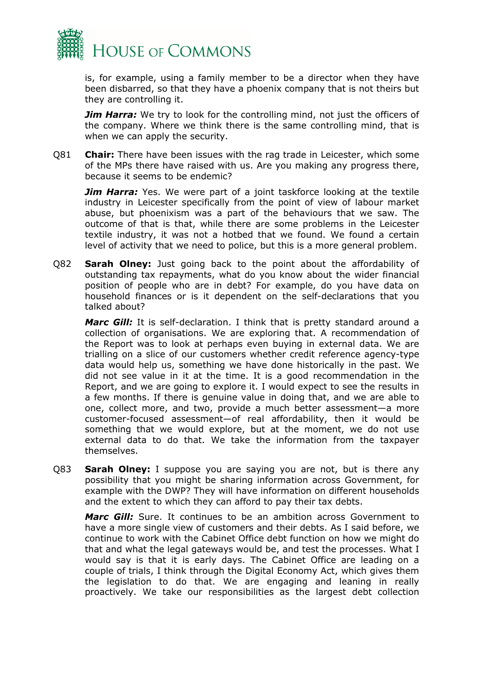

is, for example, using a family member to be a director when they have been disbarred, so that they have a phoenix company that is not theirs but they are controlling it.

*Jim Harra:* We try to look for the controlling mind, not just the officers of the company. Where we think there is the same controlling mind, that is when we can apply the security.

Q81 **Chair:** There have been issues with the rag trade in Leicester, which some of the MPs there have raised with us. Are you making any progress there, because it seems to be endemic?

*Jim Harra:* Yes. We were part of a joint taskforce looking at the textile industry in Leicester specifically from the point of view of labour market abuse, but phoenixism was a part of the behaviours that we saw. The outcome of that is that, while there are some problems in the Leicester textile industry, it was not a hotbed that we found. We found a certain level of activity that we need to police, but this is a more general problem.

Q82 **Sarah Olney:** Just going back to the point about the affordability of outstanding tax repayments, what do you know about the wider financial position of people who are in debt? For example, do you have data on household finances or is it dependent on the self-declarations that you talked about?

*Marc Gill:* It is self-declaration. I think that is pretty standard around a collection of organisations. We are exploring that. A recommendation of the Report was to look at perhaps even buying in external data. We are trialling on a slice of our customers whether credit reference agency-type data would help us, something we have done historically in the past. We did not see value in it at the time. It is a good recommendation in the Report, and we are going to explore it. I would expect to see the results in a few months. If there is genuine value in doing that, and we are able to one, collect more, and two, provide a much better assessment—a more customer-focused assessment—of real affordability, then it would be something that we would explore, but at the moment, we do not use external data to do that. We take the information from the taxpayer themselves.

Q83 **Sarah Olney:** I suppose you are saying you are not, but is there any possibility that you might be sharing information across Government, for example with the DWP? They will have information on different households and the extent to which they can afford to pay their tax debts.

*Marc Gill:* Sure. It continues to be an ambition across Government to have a more single view of customers and their debts. As I said before, we continue to work with the Cabinet Office debt function on how we might do that and what the legal gateways would be, and test the processes. What I would say is that it is early days. The Cabinet Office are leading on a couple of trials, I think through the Digital Economy Act, which gives them the legislation to do that. We are engaging and leaning in really proactively. We take our responsibilities as the largest debt collection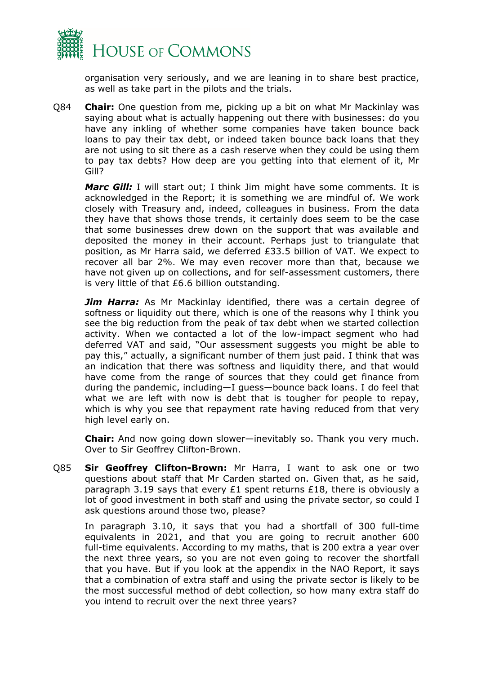

organisation very seriously, and we are leaning in to share best practice, as well as take part in the pilots and the trials.

Q84 **Chair:** One question from me, picking up a bit on what Mr Mackinlay was saying about what is actually happening out there with businesses: do you have any inkling of whether some companies have taken bounce back loans to pay their tax debt, or indeed taken bounce back loans that they are not using to sit there as a cash reserve when they could be using them to pay tax debts? How deep are you getting into that element of it, Mr Gill?

*Marc Gill:* I will start out; I think Jim might have some comments. It is acknowledged in the Report; it is something we are mindful of. We work closely with Treasury and, indeed, colleagues in business. From the data they have that shows those trends, it certainly does seem to be the case that some businesses drew down on the support that was available and deposited the money in their account. Perhaps just to triangulate that position, as Mr Harra said, we deferred £33.5 billion of VAT. We expect to recover all bar 2%. We may even recover more than that, because we have not given up on collections, and for self-assessment customers, there is very little of that £6.6 billion outstanding.

**Jim Harra:** As Mr Mackinlay identified, there was a certain degree of softness or liquidity out there, which is one of the reasons why I think you see the big reduction from the peak of tax debt when we started collection activity. When we contacted a lot of the low-impact segment who had deferred VAT and said, "Our assessment suggests you might be able to pay this," actually, a significant number of them just paid. I think that was an indication that there was softness and liquidity there, and that would have come from the range of sources that they could get finance from during the pandemic, including—I guess—bounce back loans. I do feel that what we are left with now is debt that is tougher for people to repay, which is why you see that repayment rate having reduced from that very high level early on.

**Chair:** And now going down slower—inevitably so. Thank you very much. Over to Sir Geoffrey Clifton-Brown.

Q85 **Sir Geoffrey Clifton-Brown:** Mr Harra, I want to ask one or two questions about staff that Mr Carden started on. Given that, as he said, paragraph 3.19 says that every £1 spent returns £18, there is obviously a lot of good investment in both staff and using the private sector, so could I ask questions around those two, please?

In paragraph 3.10, it says that you had a shortfall of 300 full-time equivalents in 2021, and that you are going to recruit another 600 full-time equivalents. According to my maths, that is 200 extra a year over the next three years, so you are not even going to recover the shortfall that you have. But if you look at the appendix in the NAO Report, it says that a combination of extra staff and using the private sector is likely to be the most successful method of debt collection, so how many extra staff do you intend to recruit over the next three years?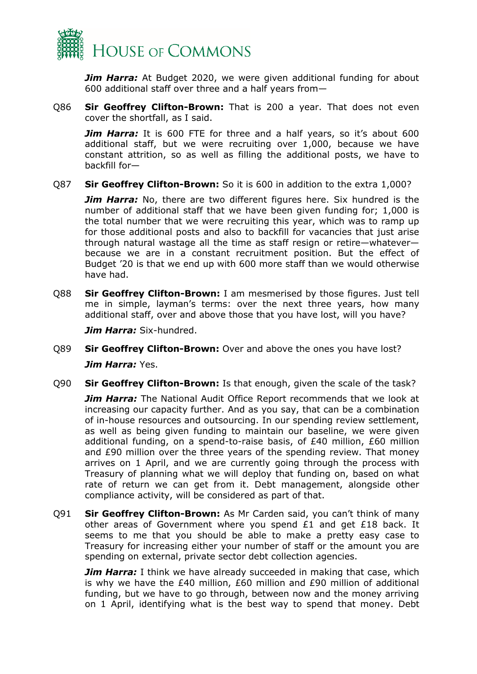

*Jim Harra:* At Budget 2020, we were given additional funding for about 600 additional staff over three and a half years from—

Q86 **Sir Geoffrey Clifton-Brown:** That is 200 a year. That does not even cover the shortfall, as I said.

**Jim Harra:** It is 600 FTE for three and a half years, so it's about 600 additional staff, but we were recruiting over 1,000, because we have constant attrition, so as well as filling the additional posts, we have to backfill for—

Q87 **Sir Geoffrey Clifton-Brown:** So it is 600 in addition to the extra 1,000?

*Jim Harra:* No, there are two different figures here. Six hundred is the number of additional staff that we have been given funding for; 1,000 is the total number that we were recruiting this year, which was to ramp up for those additional posts and also to backfill for vacancies that just arise through natural wastage all the time as staff resign or retire—whatever because we are in a constant recruitment position. But the effect of Budget '20 is that we end up with 600 more staff than we would otherwise have had.

Q88 **Sir Geoffrey Clifton-Brown:** I am mesmerised by those figures. Just tell me in simple, layman's terms: over the next three years, how many additional staff, over and above those that you have lost, will you have?

*Jim Harra:* Six-hundred.

- Q89 **Sir Geoffrey Clifton-Brown:** Over and above the ones you have lost? *Jim Harra:* Yes.
- Q90 **Sir Geoffrey Clifton-Brown:** Is that enough, given the scale of the task?

**Jim Harra:** The National Audit Office Report recommends that we look at increasing our capacity further. And as you say, that can be a combination of in-house resources and outsourcing. In our spending review settlement, as well as being given funding to maintain our baseline, we were given additional funding, on a spend-to-raise basis, of £40 million, £60 million and £90 million over the three years of the spending review. That money arrives on 1 April, and we are currently going through the process with Treasury of planning what we will deploy that funding on, based on what rate of return we can get from it. Debt management, alongside other compliance activity, will be considered as part of that.

Q91 **Sir Geoffrey Clifton-Brown:** As Mr Carden said, you can't think of many other areas of Government where you spend £1 and get £18 back. It seems to me that you should be able to make a pretty easy case to Treasury for increasing either your number of staff or the amount you are spending on external, private sector debt collection agencies.

*Jim Harra:* I think we have already succeeded in making that case, which is why we have the £40 million, £60 million and £90 million of additional funding, but we have to go through, between now and the money arriving on 1 April, identifying what is the best way to spend that money. Debt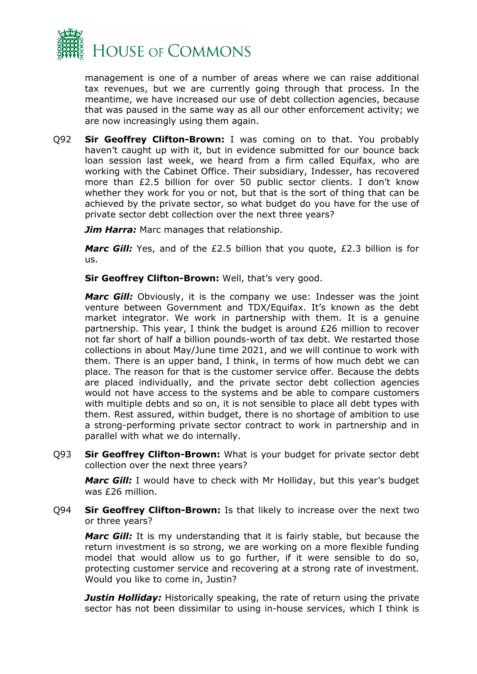

management is one of a number of areas where we can raise additional tax revenues, but we are currently going through that process. In the meantime, we have increased our use of debt collection agencies, because that was paused in the same way as all our other enforcement activity; we are now increasingly using them again.

Q92 **Sir Geoffrey Clifton-Brown:** I was coming on to that. You probably haven't caught up with it, but in evidence submitted for our bounce back loan session last week, we heard from a firm called Equifax, who are working with the Cabinet Office. Their subsidiary, Indesser, has recovered more than £2.5 billion for over 50 public sector clients. I don't know whether they work for you or not, but that is the sort of thing that can be achieved by the private sector, so what budget do you have for the use of private sector debt collection over the next three years?

*Jim Harra:* Marc manages that relationship.

*Marc Gill:* Yes, and of the £2.5 billion that you quote, £2.3 billion is for us.

**Sir Geoffrey Clifton-Brown:** Well, that's very good.

*Marc Gill:* Obviously, it is the company we use: Indesser was the joint venture between Government and TDX/Equifax. It's known as the debt market integrator. We work in partnership with them. It is a genuine partnership. This year, I think the budget is around £26 million to recover not far short of half a billion pounds-worth of tax debt. We restarted those collections in about May/June time 2021, and we will continue to work with them. There is an upper band, I think, in terms of how much debt we can place. The reason for that is the customer service offer. Because the debts are placed individually, and the private sector debt collection agencies would not have access to the systems and be able to compare customers with multiple debts and so on, it is not sensible to place all debt types with them. Rest assured, within budget, there is no shortage of ambition to use a strong-performing private sector contract to work in partnership and in parallel with what we do internally.

Q93 **Sir Geoffrey Clifton-Brown:** What is your budget for private sector debt collection over the next three years?

*Marc Gill:* I would have to check with Mr Holliday, but this year's budget was £26 million.

Q94 **Sir Geoffrey Clifton-Brown:** Is that likely to increase over the next two or three years?

*Marc Gill:* It is my understanding that it is fairly stable, but because the return investment is so strong, we are working on a more flexible funding model that would allow us to go further, if it were sensible to do so, protecting customer service and recovering at a strong rate of investment. Would you like to come in, Justin?

**Justin Holliday:** Historically speaking, the rate of return using the private sector has not been dissimilar to using in-house services, which I think is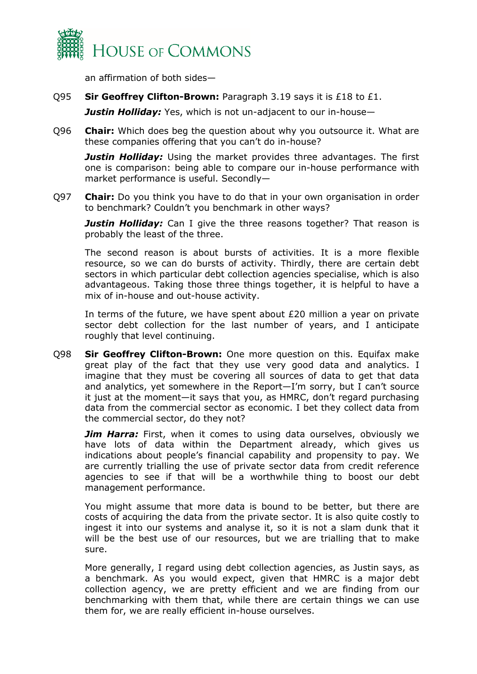

an affirmation of both sides—

Q95 **Sir Geoffrey Clifton-Brown:** Paragraph 3.19 says it is £18 to £1.

*Justin Holliday:* Yes, which is not un-adjacent to our in-house—

Q96 **Chair:** Which does beg the question about why you outsource it. What are these companies offering that you can't do in-house?

*Justin Holliday:* Using the market provides three advantages. The first one is comparison: being able to compare our in-house performance with market performance is useful. Secondly—

Q97 **Chair:** Do you think you have to do that in your own organisation in order to benchmark? Couldn't you benchmark in other ways?

*Justin Holliday:* Can I give the three reasons together? That reason is probably the least of the three.

The second reason is about bursts of activities. It is a more flexible resource, so we can do bursts of activity. Thirdly, there are certain debt sectors in which particular debt collection agencies specialise, which is also advantageous. Taking those three things together, it is helpful to have a mix of in-house and out-house activity.

In terms of the future, we have spent about £20 million a year on private sector debt collection for the last number of years, and I anticipate roughly that level continuing.

Q98 **Sir Geoffrey Clifton-Brown:** One more question on this. Equifax make great play of the fact that they use very good data and analytics. I imagine that they must be covering all sources of data to get that data and analytics, yet somewhere in the Report—I'm sorry, but I can't source it just at the moment—it says that you, as HMRC, don't regard purchasing data from the commercial sector as economic. I bet they collect data from the commercial sector, do they not?

**Jim Harra:** First, when it comes to using data ourselves, obviously we have lots of data within the Department already, which gives us indications about people's financial capability and propensity to pay. We are currently trialling the use of private sector data from credit reference agencies to see if that will be a worthwhile thing to boost our debt management performance.

You might assume that more data is bound to be better, but there are costs of acquiring the data from the private sector. It is also quite costly to ingest it into our systems and analyse it, so it is not a slam dunk that it will be the best use of our resources, but we are trialling that to make sure.

More generally, I regard using debt collection agencies, as Justin says, as a benchmark. As you would expect, given that HMRC is a major debt collection agency, we are pretty efficient and we are finding from our benchmarking with them that, while there are certain things we can use them for, we are really efficient in-house ourselves.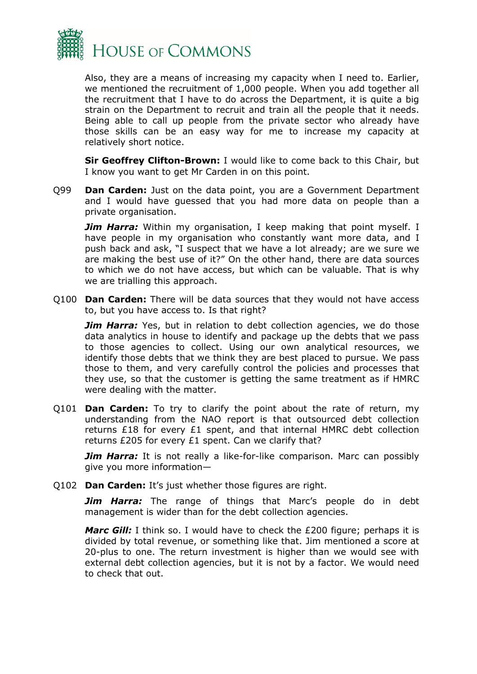

Also, they are a means of increasing my capacity when I need to. Earlier, we mentioned the recruitment of 1,000 people. When you add together all the recruitment that I have to do across the Department, it is quite a big strain on the Department to recruit and train all the people that it needs. Being able to call up people from the private sector who already have those skills can be an easy way for me to increase my capacity at relatively short notice.

**Sir Geoffrey Clifton-Brown:** I would like to come back to this Chair, but I know you want to get Mr Carden in on this point.

Q99 **Dan Carden:** Just on the data point, you are a Government Department and I would have guessed that you had more data on people than a private organisation.

*Jim Harra:* Within my organisation, I keep making that point myself. I have people in my organisation who constantly want more data, and I push back and ask, "I suspect that we have a lot already; are we sure we are making the best use of it?" On the other hand, there are data sources to which we do not have access, but which can be valuable. That is why we are trialling this approach.

Q100 **Dan Carden:** There will be data sources that they would not have access to, but you have access to. Is that right?

**Jim Harra:** Yes, but in relation to debt collection agencies, we do those data analytics in house to identify and package up the debts that we pass to those agencies to collect. Using our own analytical resources, we identify those debts that we think they are best placed to pursue. We pass those to them, and very carefully control the policies and processes that they use, so that the customer is getting the same treatment as if HMRC were dealing with the matter.

Q101 **Dan Carden:** To try to clarify the point about the rate of return, my understanding from the NAO report is that outsourced debt collection returns £18 for every £1 spent, and that internal HMRC debt collection returns £205 for every £1 spent. Can we clarify that?

*Jim Harra:* It is not really a like-for-like comparison. Marc can possibly give you more information—

Q102 **Dan Carden:** It's just whether those figures are right.

*Jim Harra:* The range of things that Marc's people do in debt management is wider than for the debt collection agencies.

*Marc Gill:* I think so. I would have to check the £200 figure; perhaps it is divided by total revenue, or something like that. Jim mentioned a score at 20-plus to one. The return investment is higher than we would see with external debt collection agencies, but it is not by a factor. We would need to check that out.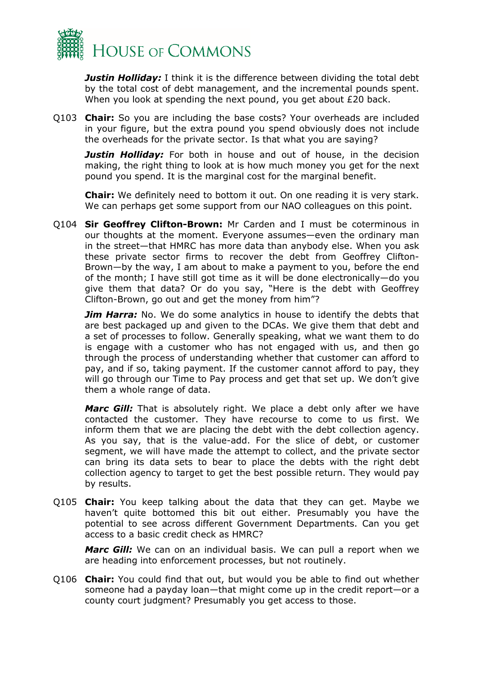

*Justin Holliday:* I think it is the difference between dividing the total debt by the total cost of debt management, and the incremental pounds spent. When you look at spending the next pound, you get about £20 back.

Q103 **Chair:** So you are including the base costs? Your overheads are included in your figure, but the extra pound you spend obviously does not include the overheads for the private sector. Is that what you are saying?

**Justin Holliday:** For both in house and out of house, in the decision making, the right thing to look at is how much money you get for the next pound you spend. It is the marginal cost for the marginal benefit.

**Chair:** We definitely need to bottom it out. On one reading it is very stark. We can perhaps get some support from our NAO colleagues on this point.

Q104 **Sir Geoffrey Clifton-Brown:** Mr Carden and I must be coterminous in our thoughts at the moment. Everyone assumes—even the ordinary man in the street—that HMRC has more data than anybody else. When you ask these private sector firms to recover the debt from Geoffrey Clifton-Brown—by the way, I am about to make a payment to you, before the end of the month; I have still got time as it will be done electronically—do you give them that data? Or do you say, "Here is the debt with Geoffrey Clifton-Brown, go out and get the money from him"?

**Jim Harra:** No. We do some analytics in house to identify the debts that are best packaged up and given to the DCAs. We give them that debt and a set of processes to follow. Generally speaking, what we want them to do is engage with a customer who has not engaged with us, and then go through the process of understanding whether that customer can afford to pay, and if so, taking payment. If the customer cannot afford to pay, they will go through our Time to Pay process and get that set up. We don't give them a whole range of data.

*Marc Gill:* That is absolutely right. We place a debt only after we have contacted the customer. They have recourse to come to us first. We inform them that we are placing the debt with the debt collection agency. As you say, that is the value-add. For the slice of debt, or customer segment, we will have made the attempt to collect, and the private sector can bring its data sets to bear to place the debts with the right debt collection agency to target to get the best possible return. They would pay by results.

Q105 **Chair:** You keep talking about the data that they can get. Maybe we haven't quite bottomed this bit out either. Presumably you have the potential to see across different Government Departments. Can you get access to a basic credit check as HMRC?

*Marc Gill:* We can on an individual basis. We can pull a report when we are heading into enforcement processes, but not routinely.

Q106 **Chair:** You could find that out, but would you be able to find out whether someone had a payday loan—that might come up in the credit report—or a county court judgment? Presumably you get access to those.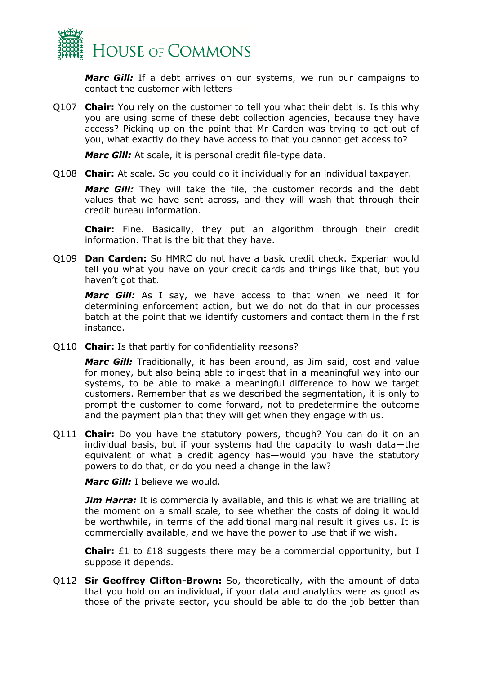

*Marc Gill:* If a debt arrives on our systems, we run our campaigns to contact the customer with letters—

Q107 **Chair:** You rely on the customer to tell you what their debt is. Is this why you are using some of these debt collection agencies, because they have access? Picking up on the point that Mr Carden was trying to get out of you, what exactly do they have access to that you cannot get access to?

*Marc Gill:* At scale, it is personal credit file-type data.

Q108 **Chair:** At scale. So you could do it individually for an individual taxpayer.

*Marc Gill:* They will take the file, the customer records and the debt values that we have sent across, and they will wash that through their credit bureau information.

**Chair:** Fine. Basically, they put an algorithm through their credit information. That is the bit that they have.

Q109 **Dan Carden:** So HMRC do not have a basic credit check. Experian would tell you what you have on your credit cards and things like that, but you haven't got that.

*Marc Gill:* As I say, we have access to that when we need it for determining enforcement action, but we do not do that in our processes batch at the point that we identify customers and contact them in the first instance.

Q110 **Chair:** Is that partly for confidentiality reasons?

*Marc Gill:* Traditionally, it has been around, as Jim said, cost and value for money, but also being able to ingest that in a meaningful way into our systems, to be able to make a meaningful difference to how we target customers. Remember that as we described the segmentation, it is only to prompt the customer to come forward, not to predetermine the outcome and the payment plan that they will get when they engage with us.

Q111 **Chair:** Do you have the statutory powers, though? You can do it on an individual basis, but if your systems had the capacity to wash data—the equivalent of what a credit agency has—would you have the statutory powers to do that, or do you need a change in the law?

*Marc Gill:* I believe we would.

*Jim Harra:* It is commercially available, and this is what we are trialling at the moment on a small scale, to see whether the costs of doing it would be worthwhile, in terms of the additional marginal result it gives us. It is commercially available, and we have the power to use that if we wish.

**Chair:** £1 to £18 suggests there may be a commercial opportunity, but I suppose it depends.

Q112 **Sir Geoffrey Clifton-Brown:** So, theoretically, with the amount of data that you hold on an individual, if your data and analytics were as good as those of the private sector, you should be able to do the job better than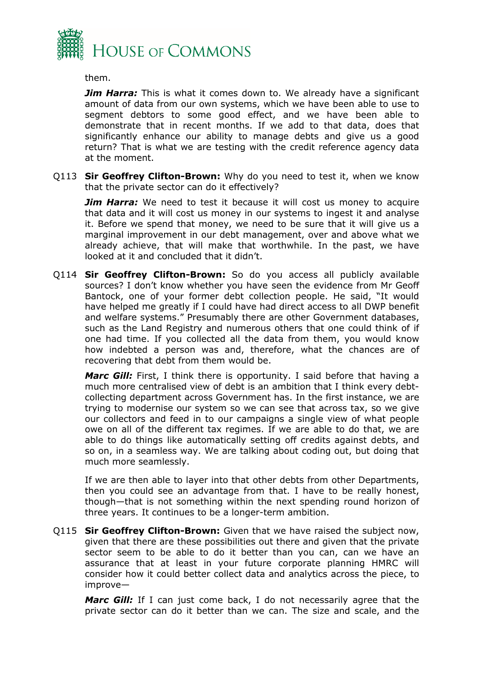

them.

*Jim Harra:* This is what it comes down to. We already have a significant amount of data from our own systems, which we have been able to use to segment debtors to some good effect, and we have been able to demonstrate that in recent months. If we add to that data, does that significantly enhance our ability to manage debts and give us a good return? That is what we are testing with the credit reference agency data at the moment.

Q113 **Sir Geoffrey Clifton-Brown:** Why do you need to test it, when we know that the private sector can do it effectively?

**Jim Harra:** We need to test it because it will cost us money to acquire that data and it will cost us money in our systems to ingest it and analyse it. Before we spend that money, we need to be sure that it will give us a marginal improvement in our debt management, over and above what we already achieve, that will make that worthwhile. In the past, we have looked at it and concluded that it didn't.

Q114 **Sir Geoffrey Clifton-Brown:** So do you access all publicly available sources? I don't know whether you have seen the evidence from Mr Geoff Bantock, one of your former debt collection people. He said, "It would have helped me greatly if I could have had direct access to all DWP benefit and welfare systems." Presumably there are other Government databases, such as the Land Registry and numerous others that one could think of if one had time. If you collected all the data from them, you would know how indebted a person was and, therefore, what the chances are of recovering that debt from them would be.

*Marc Gill:* First, I think there is opportunity. I said before that having a much more centralised view of debt is an ambition that I think every debtcollecting department across Government has. In the first instance, we are trying to modernise our system so we can see that across tax, so we give our collectors and feed in to our campaigns a single view of what people owe on all of the different tax regimes. If we are able to do that, we are able to do things like automatically setting off credits against debts, and so on, in a seamless way. We are talking about coding out, but doing that much more seamlessly.

If we are then able to layer into that other debts from other Departments, then you could see an advantage from that. I have to be really honest, though—that is not something within the next spending round horizon of three years. It continues to be a longer-term ambition.

Q115 **Sir Geoffrey Clifton-Brown:** Given that we have raised the subject now, given that there are these possibilities out there and given that the private sector seem to be able to do it better than you can, can we have an assurance that at least in your future corporate planning HMRC will consider how it could better collect data and analytics across the piece, to improve—

*Marc Gill:* If I can just come back, I do not necessarily agree that the private sector can do it better than we can. The size and scale, and the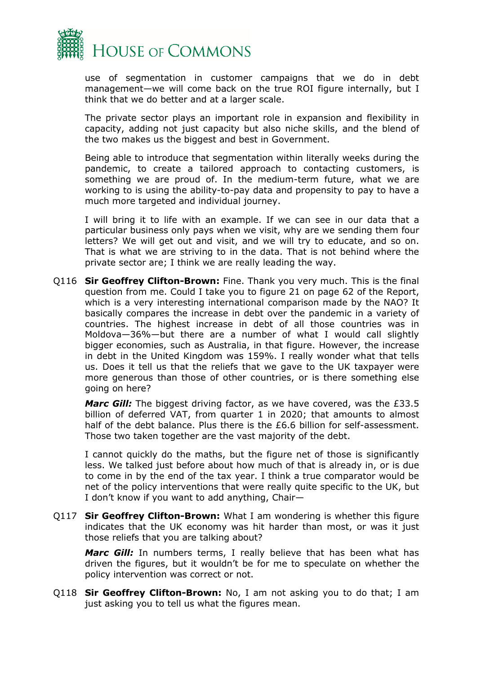

use of segmentation in customer campaigns that we do in debt management—we will come back on the true ROI figure internally, but I think that we do better and at a larger scale.

The private sector plays an important role in expansion and flexibility in capacity, adding not just capacity but also niche skills, and the blend of the two makes us the biggest and best in Government.

Being able to introduce that segmentation within literally weeks during the pandemic, to create a tailored approach to contacting customers, is something we are proud of. In the medium-term future, what we are working to is using the ability-to-pay data and propensity to pay to have a much more targeted and individual journey.

I will bring it to life with an example. If we can see in our data that a particular business only pays when we visit, why are we sending them four letters? We will get out and visit, and we will try to educate, and so on. That is what we are striving to in the data. That is not behind where the private sector are; I think we are really leading the way.

Q116 **Sir Geoffrey Clifton-Brown:** Fine. Thank you very much. This is the final question from me. Could I take you to figure 21 on page 62 of the Report, which is a very interesting international comparison made by the NAO? It basically compares the increase in debt over the pandemic in a variety of countries. The highest increase in debt of all those countries was in Moldova—36%—but there are a number of what I would call slightly bigger economies, such as Australia, in that figure. However, the increase in debt in the United Kingdom was 159%. I really wonder what that tells us. Does it tell us that the reliefs that we gave to the UK taxpayer were more generous than those of other countries, or is there something else going on here?

*Marc Gill:* The biggest driving factor, as we have covered, was the £33.5 billion of deferred VAT, from quarter 1 in 2020; that amounts to almost half of the debt balance. Plus there is the £6.6 billion for self-assessment. Those two taken together are the vast majority of the debt.

I cannot quickly do the maths, but the figure net of those is significantly less. We talked just before about how much of that is already in, or is due to come in by the end of the tax year. I think a true comparator would be net of the policy interventions that were really quite specific to the UK, but I don't know if you want to add anything, Chair—

Q117 **Sir Geoffrey Clifton-Brown:** What I am wondering is whether this figure indicates that the UK economy was hit harder than most, or was it just those reliefs that you are talking about?

*Marc Gill:* In numbers terms, I really believe that has been what has driven the figures, but it wouldn't be for me to speculate on whether the policy intervention was correct or not.

Q118 **Sir Geoffrey Clifton-Brown:** No, I am not asking you to do that; I am just asking you to tell us what the figures mean.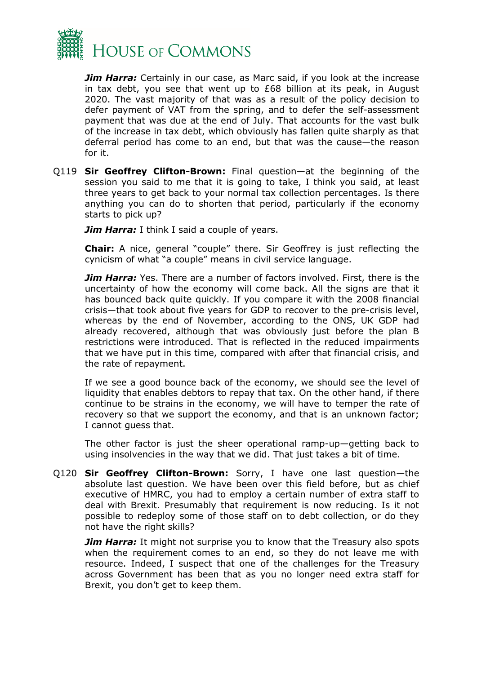

*Jim Harra:* Certainly in our case, as Marc said, if you look at the increase in tax debt, you see that went up to  $£68$  billion at its peak, in August 2020. The vast majority of that was as a result of the policy decision to defer payment of VAT from the spring, and to defer the self-assessment payment that was due at the end of July. That accounts for the vast bulk of the increase in tax debt, which obviously has fallen quite sharply as that deferral period has come to an end, but that was the cause—the reason for it.

Q119 **Sir Geoffrey Clifton-Brown:** Final question—at the beginning of the session you said to me that it is going to take, I think you said, at least three years to get back to your normal tax collection percentages. Is there anything you can do to shorten that period, particularly if the economy starts to pick up?

*Jim Harra:* I think I said a couple of years.

**Chair:** A nice, general "couple" there. Sir Geoffrey is just reflecting the cynicism of what "a couple" means in civil service language.

*Jim Harra:* Yes. There are a number of factors involved. First, there is the uncertainty of how the economy will come back. All the signs are that it has bounced back quite quickly. If you compare it with the 2008 financial crisis—that took about five years for GDP to recover to the pre-crisis level, whereas by the end of November, according to the ONS, UK GDP had already recovered, although that was obviously just before the plan B restrictions were introduced. That is reflected in the reduced impairments that we have put in this time, compared with after that financial crisis, and the rate of repayment.

If we see a good bounce back of the economy, we should see the level of liquidity that enables debtors to repay that tax. On the other hand, if there continue to be strains in the economy, we will have to temper the rate of recovery so that we support the economy, and that is an unknown factor; I cannot guess that.

The other factor is just the sheer operational ramp-up—getting back to using insolvencies in the way that we did. That just takes a bit of time.

Q120 **Sir Geoffrey Clifton-Brown:** Sorry, I have one last question—the absolute last question. We have been over this field before, but as chief executive of HMRC, you had to employ a certain number of extra staff to deal with Brexit. Presumably that requirement is now reducing. Is it not possible to redeploy some of those staff on to debt collection, or do they not have the right skills?

*Jim Harra:* It might not surprise you to know that the Treasury also spots when the requirement comes to an end, so they do not leave me with resource. Indeed, I suspect that one of the challenges for the Treasury across Government has been that as you no longer need extra staff for Brexit, you don't get to keep them.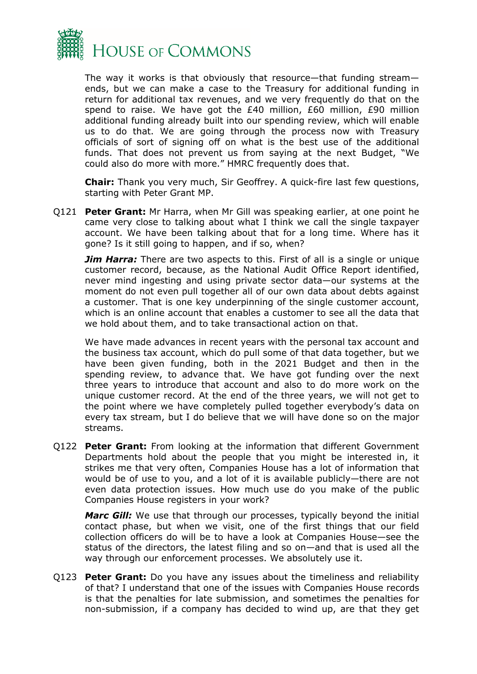

The way it works is that obviously that resource—that funding stream ends, but we can make a case to the Treasury for additional funding in return for additional tax revenues, and we very frequently do that on the spend to raise. We have got the £40 million, £60 million, £90 million additional funding already built into our spending review, which will enable us to do that. We are going through the process now with Treasury officials of sort of signing off on what is the best use of the additional funds. That does not prevent us from saying at the next Budget, "We could also do more with more." HMRC frequently does that.

**Chair:** Thank you very much, Sir Geoffrey. A quick-fire last few questions, starting with Peter Grant MP.

Q121 **Peter Grant:** Mr Harra, when Mr Gill was speaking earlier, at one point he came very close to talking about what I think we call the single taxpayer account. We have been talking about that for a long time. Where has it gone? Is it still going to happen, and if so, when?

*Jim Harra:* There are two aspects to this. First of all is a single or unique customer record, because, as the National Audit Office Report identified, never mind ingesting and using private sector data—our systems at the moment do not even pull together all of our own data about debts against a customer. That is one key underpinning of the single customer account, which is an online account that enables a customer to see all the data that we hold about them, and to take transactional action on that.

We have made advances in recent years with the personal tax account and the business tax account, which do pull some of that data together, but we have been given funding, both in the 2021 Budget and then in the spending review, to advance that. We have got funding over the next three years to introduce that account and also to do more work on the unique customer record. At the end of the three years, we will not get to the point where we have completely pulled together everybody's data on every tax stream, but I do believe that we will have done so on the major streams.

Q122 **Peter Grant:** From looking at the information that different Government Departments hold about the people that you might be interested in, it strikes me that very often, Companies House has a lot of information that would be of use to you, and a lot of it is available publicly—there are not even data protection issues. How much use do you make of the public Companies House registers in your work?

*Marc Gill:* We use that through our processes, typically beyond the initial contact phase, but when we visit, one of the first things that our field collection officers do will be to have a look at Companies House—see the status of the directors, the latest filing and so on—and that is used all the way through our enforcement processes. We absolutely use it.

Q123 **Peter Grant:** Do you have any issues about the timeliness and reliability of that? I understand that one of the issues with Companies House records is that the penalties for late submission, and sometimes the penalties for non-submission, if a company has decided to wind up, are that they get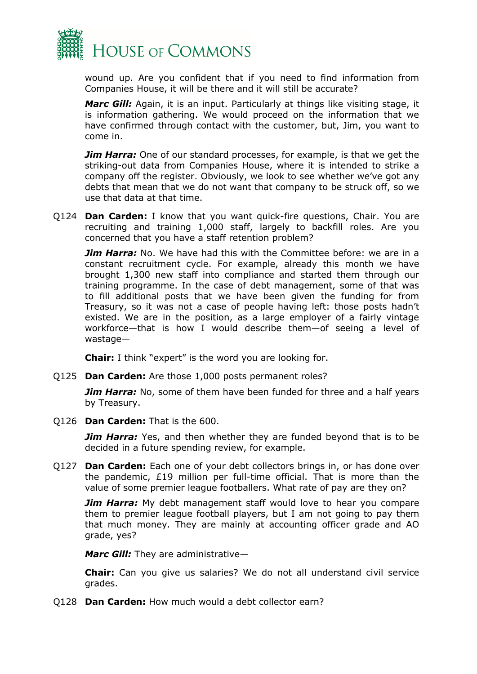

wound up. Are you confident that if you need to find information from Companies House, it will be there and it will still be accurate?

*Marc Gill:* Again, it is an input. Particularly at things like visiting stage, it is information gathering. We would proceed on the information that we have confirmed through contact with the customer, but, Jim, you want to come in.

*Jim Harra:* One of our standard processes, for example, is that we get the striking-out data from Companies House, where it is intended to strike a company off the register. Obviously, we look to see whether we've got any debts that mean that we do not want that company to be struck off, so we use that data at that time.

Q124 **Dan Carden:** I know that you want quick-fire questions, Chair. You are recruiting and training 1,000 staff, largely to backfill roles. Are you concerned that you have a staff retention problem?

*Jim Harra:* No. We have had this with the Committee before: we are in a constant recruitment cycle. For example, already this month we have brought 1,300 new staff into compliance and started them through our training programme. In the case of debt management, some of that was to fill additional posts that we have been given the funding for from Treasury, so it was not a case of people having left: those posts hadn't existed. We are in the position, as a large employer of a fairly vintage workforce—that is how I would describe them—of seeing a level of wastage—

**Chair:** I think "expert" is the word you are looking for.

Q125 **Dan Carden:** Are those 1,000 posts permanent roles?

**Jim Harra:** No, some of them have been funded for three and a half years by Treasury.

Q126 **Dan Carden:** That is the 600.

**Jim Harra:** Yes, and then whether they are funded beyond that is to be decided in a future spending review, for example.

Q127 **Dan Carden:** Each one of your debt collectors brings in, or has done over the pandemic, £19 million per full-time official. That is more than the value of some premier league footballers. What rate of pay are they on?

**Jim Harra:** My debt management staff would love to hear you compare them to premier league football players, but I am not going to pay them that much money. They are mainly at accounting officer grade and AO grade, yes?

*Marc Gill:* They are administrative—

**Chair:** Can you give us salaries? We do not all understand civil service grades.

Q128 **Dan Carden:** How much would a debt collector earn?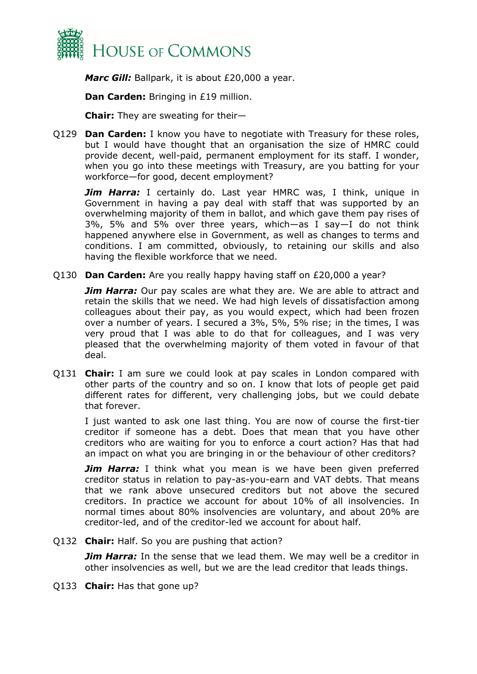

*Marc Gill: Ballpark, it is about £20,000 a year.* 

**Dan Carden:** Bringing in £19 million.

**Chair:** They are sweating for their—

Q129 **Dan Carden:** I know you have to negotiate with Treasury for these roles, but I would have thought that an organisation the size of HMRC could provide decent, well-paid, permanent employment for its staff. I wonder, when you go into these meetings with Treasury, are you batting for your workforce—for good, decent employment?

**Jim Harra:** I certainly do. Last year HMRC was, I think, unique in Government in having a pay deal with staff that was supported by an overwhelming majority of them in ballot, and which gave them pay rises of 3%, 5% and 5% over three years, which—as I say—I do not think happened anywhere else in Government, as well as changes to terms and conditions. I am committed, obviously, to retaining our skills and also having the flexible workforce that we need.

Q130 **Dan Carden:** Are you really happy having staff on £20,000 a year?

**Jim Harra:** Our pay scales are what they are. We are able to attract and retain the skills that we need. We had high levels of dissatisfaction among colleagues about their pay, as you would expect, which had been frozen over a number of years. I secured a 3%, 5%, 5% rise; in the times, I was very proud that I was able to do that for colleagues, and I was very pleased that the overwhelming majority of them voted in favour of that deal.

Q131 **Chair:** I am sure we could look at pay scales in London compared with other parts of the country and so on. I know that lots of people get paid different rates for different, very challenging jobs, but we could debate that forever.

I just wanted to ask one last thing. You are now of course the first-tier creditor if someone has a debt. Does that mean that you have other creditors who are waiting for you to enforce a court action? Has that had an impact on what you are bringing in or the behaviour of other creditors?

*Jim Harra:* I think what you mean is we have been given preferred creditor status in relation to pay-as-you-earn and VAT debts. That means that we rank above unsecured creditors but not above the secured creditors. In practice we account for about 10% of all insolvencies. In normal times about 80% insolvencies are voluntary, and about 20% are creditor-led, and of the creditor-led we account for about half.

Q132 **Chair:** Half. So you are pushing that action?

*Jim Harra:* In the sense that we lead them. We may well be a creditor in other insolvencies as well, but we are the lead creditor that leads things.

Q133 **Chair:** Has that gone up?